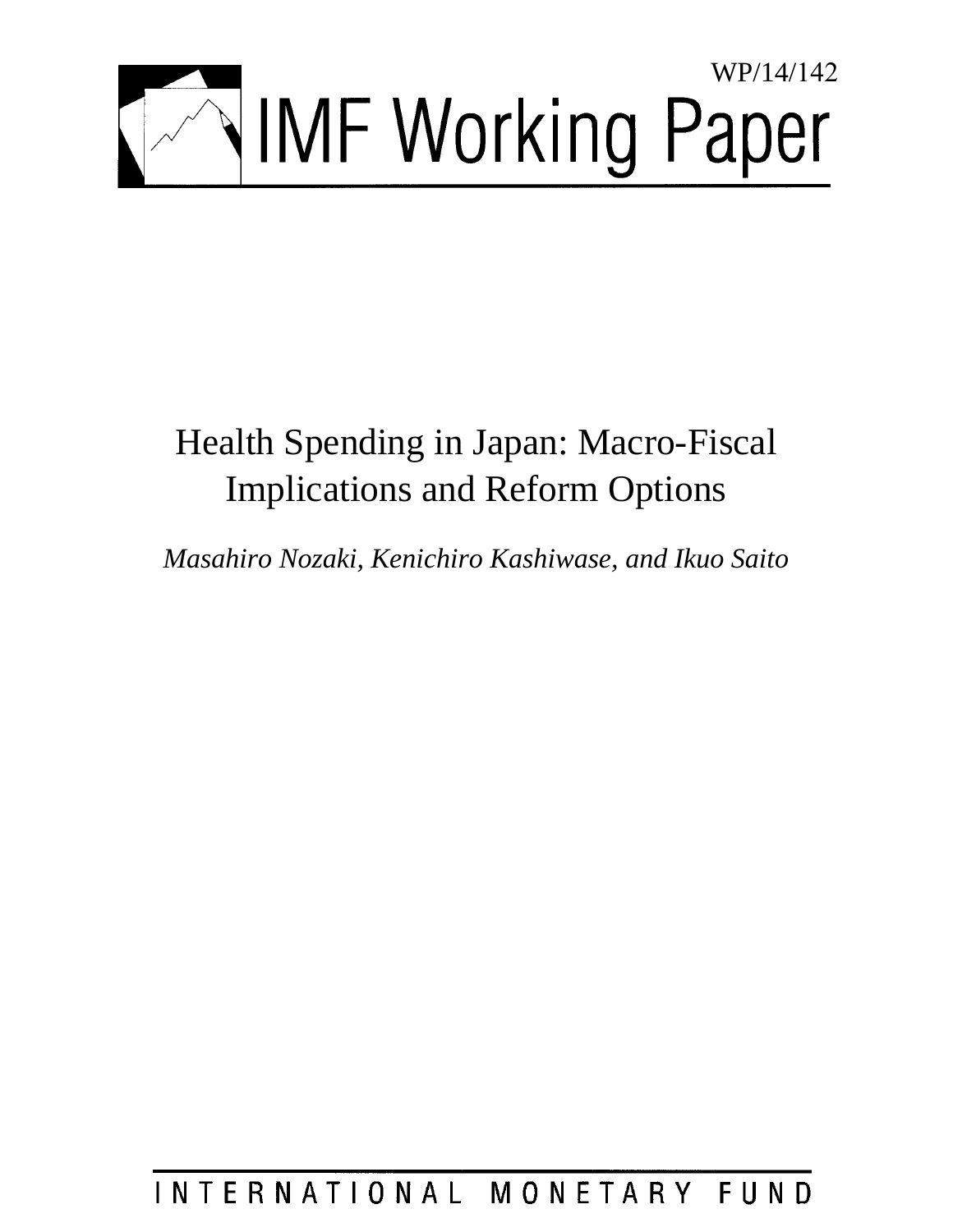

# Health Spending in Japan: Macro-Fiscal Implications and Reform Options

*Masahiro Nozaki, Kenichiro Kashiwase, and Ikuo Saito* 

#### INTERNATIONAL MONETARY FUND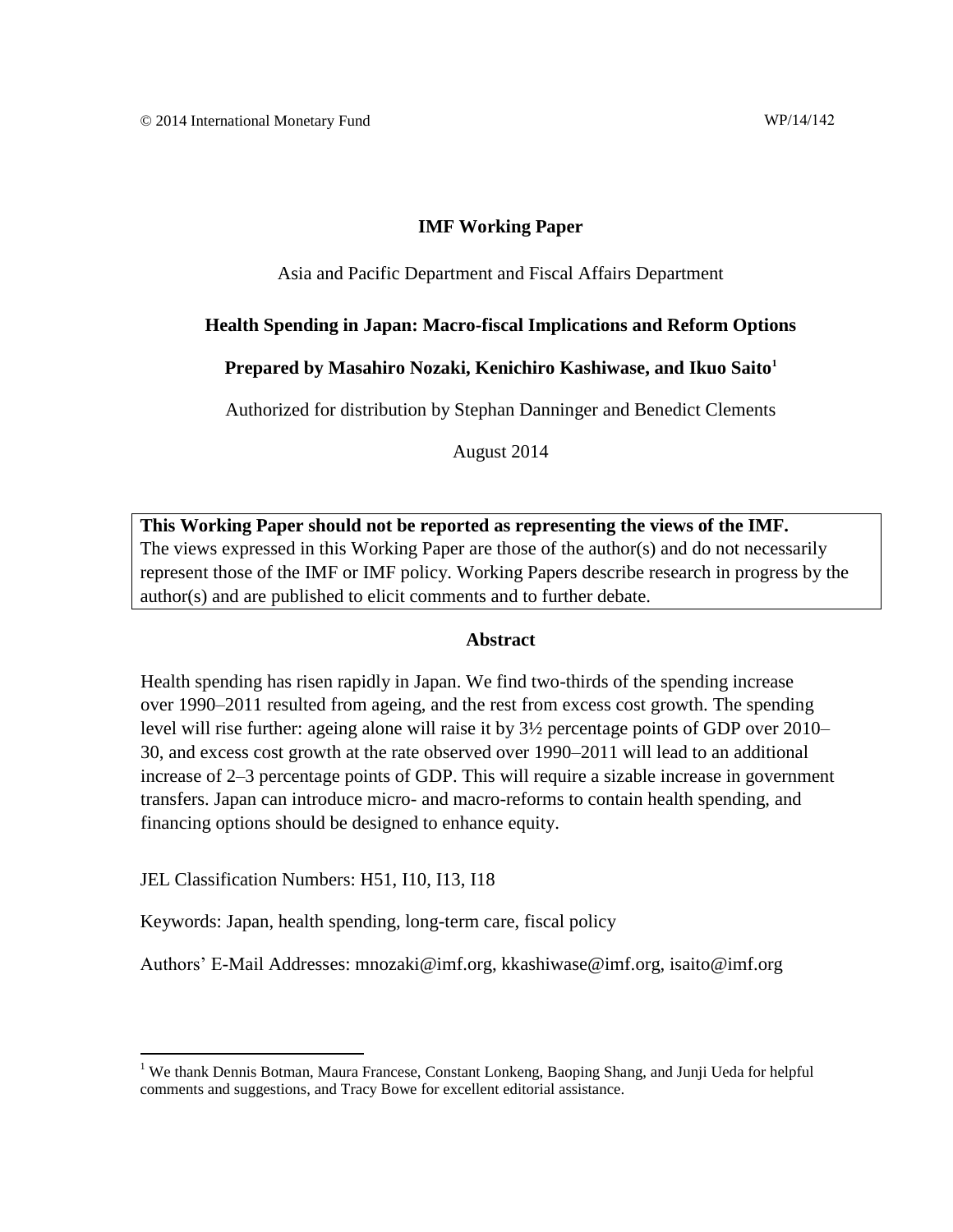#### **IMF Working Paper**

#### Asia and Pacific Department and Fiscal Affairs Department

#### **Health Spending in Japan: Macro-fiscal Implications and Reform Options**

#### **Prepared by Masahiro Nozaki, Kenichiro Kashiwase, and Ikuo Saito<sup>1</sup>**

Authorized for distribution by Stephan Danninger and Benedict Clements

August 2014

**This Working Paper should not be reported as representing the views of the IMF.** The views expressed in this Working Paper are those of the author(s) and do not necessarily represent those of the IMF or IMF policy. Working Papers describe research in progress by the author(s) and are published to elicit comments and to further debate.

#### **Abstract**

Health spending has risen rapidly in Japan. We find two-thirds of the spending increase over 1990–2011 resulted from ageing, and the rest from excess cost growth. The spending level will rise further: ageing alone will raise it by 3½ percentage points of GDP over 2010– 30, and excess cost growth at the rate observed over 1990–2011 will lead to an additional increase of 2–3 percentage points of GDP. This will require a sizable increase in government transfers. Japan can introduce micro- and macro-reforms to contain health spending, and financing options should be designed to enhance equity.

JEL Classification Numbers: H51, I10, I13, I18

Keywords: Japan, health spending, long-term care, fiscal policy

Authors' E-Mail Addresses: mnozaki@imf.org, kkashiwase@imf.org, isaito@imf.org

<sup>&</sup>lt;sup>1</sup> We thank Dennis Botman, Maura Francese, Constant Lonkeng, Baoping Shang, and Junji Ueda for helpful comments and suggestions, and Tracy Bowe for excellent editorial assistance.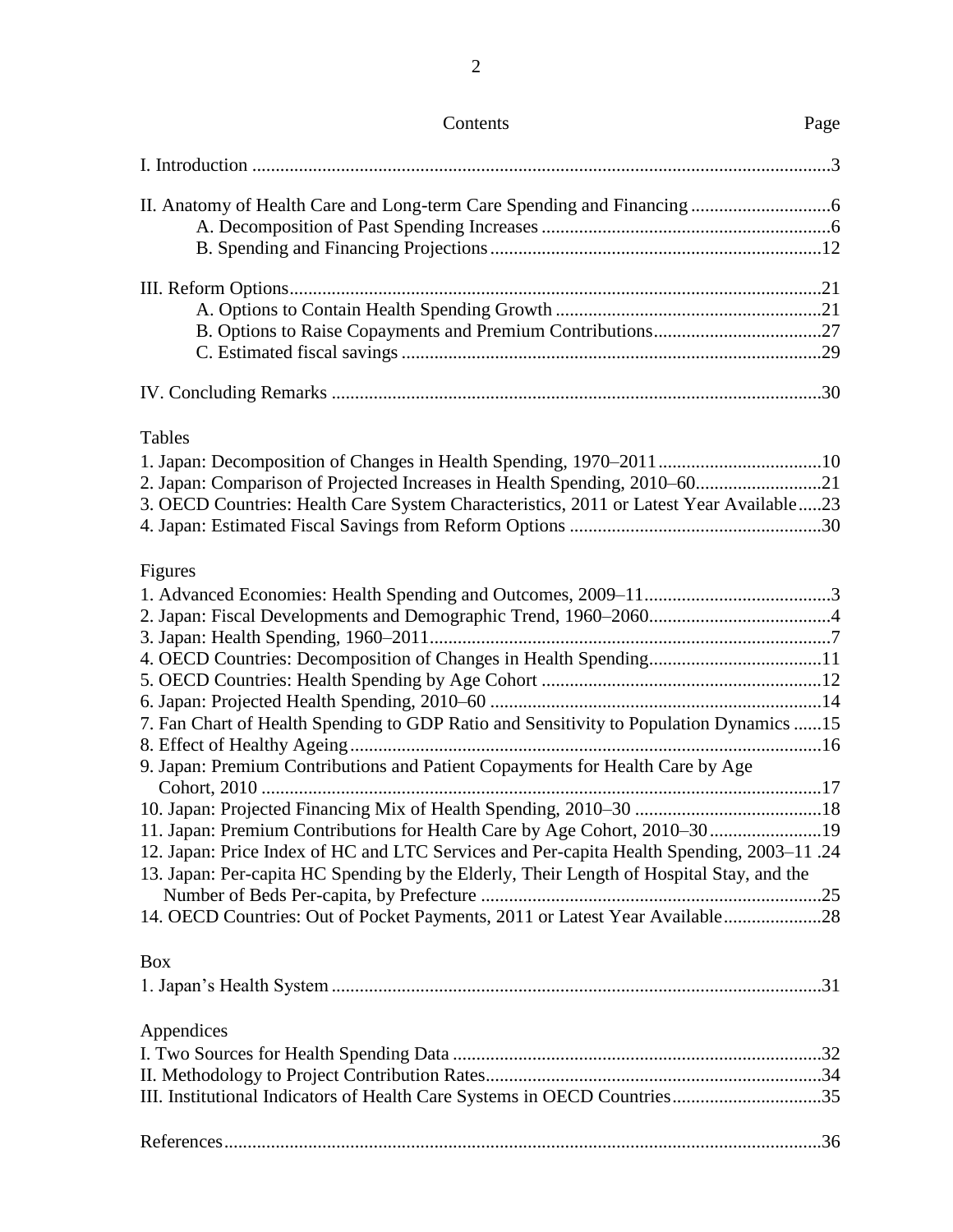| Contents                                                                                                                                                                              | Page |
|---------------------------------------------------------------------------------------------------------------------------------------------------------------------------------------|------|
|                                                                                                                                                                                       |      |
|                                                                                                                                                                                       |      |
|                                                                                                                                                                                       |      |
|                                                                                                                                                                                       |      |
|                                                                                                                                                                                       |      |
|                                                                                                                                                                                       |      |
|                                                                                                                                                                                       |      |
|                                                                                                                                                                                       |      |
|                                                                                                                                                                                       |      |
|                                                                                                                                                                                       |      |
| Tables                                                                                                                                                                                |      |
|                                                                                                                                                                                       |      |
| 2. Japan: Comparison of Projected Increases in Health Spending, 2010–6021                                                                                                             |      |
| 3. OECD Countries: Health Care System Characteristics, 2011 or Latest Year Available23                                                                                                |      |
|                                                                                                                                                                                       |      |
|                                                                                                                                                                                       |      |
| Figures                                                                                                                                                                               |      |
|                                                                                                                                                                                       |      |
|                                                                                                                                                                                       |      |
|                                                                                                                                                                                       |      |
|                                                                                                                                                                                       |      |
|                                                                                                                                                                                       |      |
|                                                                                                                                                                                       |      |
| 7. Fan Chart of Health Spending to GDP Ratio and Sensitivity to Population Dynamics  15                                                                                               |      |
|                                                                                                                                                                                       |      |
| 9. Japan: Premium Contributions and Patient Copayments for Health Care by Age                                                                                                         |      |
|                                                                                                                                                                                       |      |
|                                                                                                                                                                                       |      |
| 11. Japan: Premium Contributions for Health Care by Age Cohort, 2010–3019                                                                                                             |      |
| 12. Japan: Price Index of HC and LTC Services and Per-capita Health Spending, 2003-11 .24<br>13. Japan: Per-capita HC Spending by the Elderly, Their Length of Hospital Stay, and the |      |
|                                                                                                                                                                                       |      |
| 14. OECD Countries: Out of Pocket Payments, 2011 or Latest Year Available28                                                                                                           |      |
| <b>Box</b>                                                                                                                                                                            |      |
|                                                                                                                                                                                       |      |
| Appendices                                                                                                                                                                            |      |
|                                                                                                                                                                                       |      |
|                                                                                                                                                                                       |      |
| III. Institutional Indicators of Health Care Systems in OECD Countries35                                                                                                              |      |
|                                                                                                                                                                                       |      |
|                                                                                                                                                                                       |      |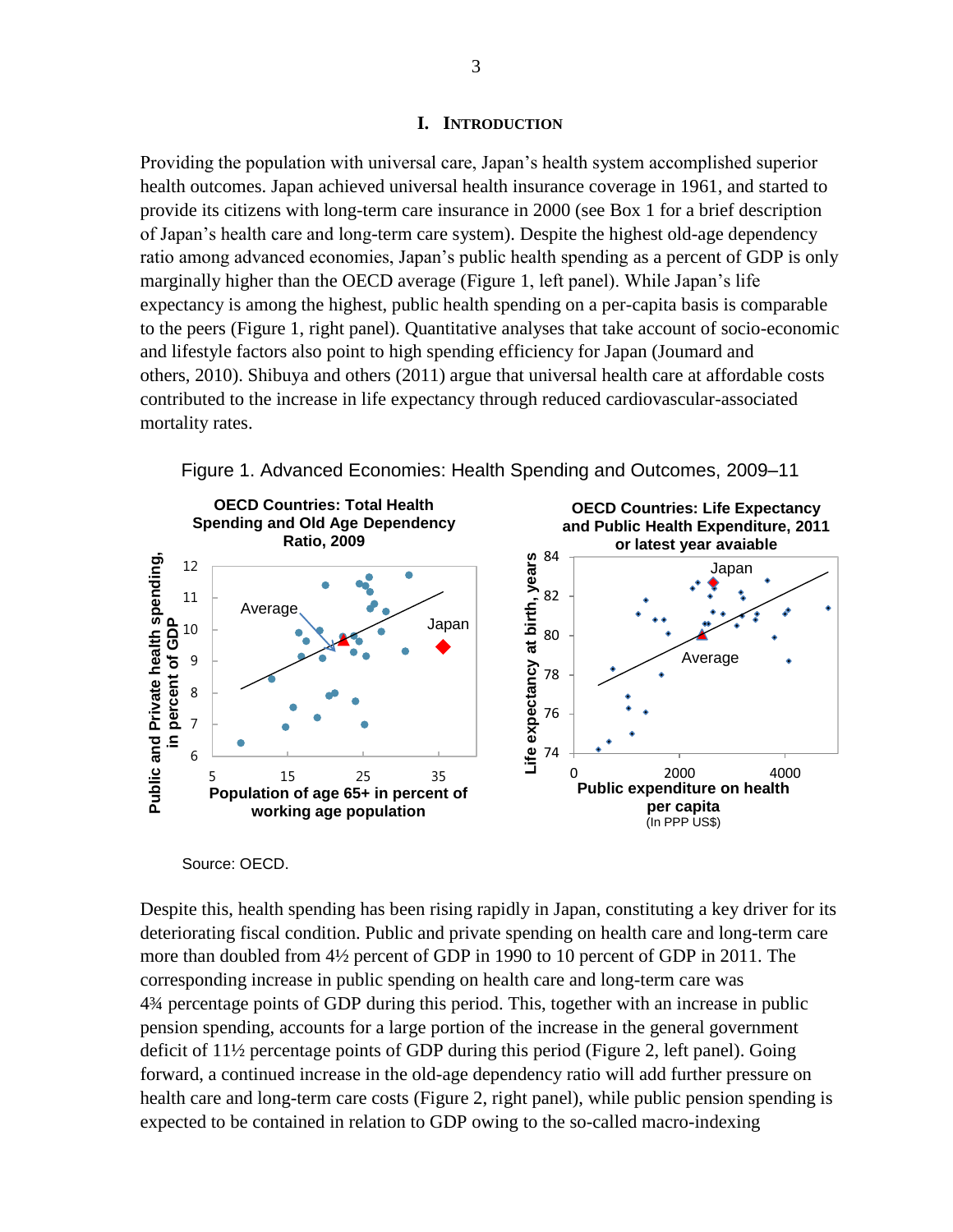#### **I. INTRODUCTION**

Providing the population with universal care, Japan's health system accomplished superior health outcomes. Japan achieved universal health insurance coverage in 1961, and started to provide its citizens with long-term care insurance in 2000 (see Box 1 for a brief description of Japan's health care and long-term care system). Despite the highest old-age dependency ratio among advanced economies, Japan's public health spending as a percent of GDP is only marginally higher than the OECD average (Figure 1, left panel). While Japan's life expectancy is among the highest, public health spending on a per-capita basis is comparable to the peers (Figure 1, right panel). Quantitative analyses that take account of socio-economic and lifestyle factors also point to high spending efficiency for Japan (Joumard and others, 2010). Shibuya and others (2011) argue that universal health care at affordable costs contributed to the increase in life expectancy through reduced cardiovascular-associated mortality rates.





#### Source: OECD.

Despite this, health spending has been rising rapidly in Japan, constituting a key driver for its deteriorating fiscal condition. Public and private spending on health care and long-term care more than doubled from 4½ percent of GDP in 1990 to 10 percent of GDP in 2011. The corresponding increase in public spending on health care and long-term care was 4¾ percentage points of GDP during this period. This, together with an increase in public pension spending, accounts for a large portion of the increase in the general government deficit of 11½ percentage points of GDP during this period (Figure 2, left panel). Going forward, a continued increase in the old-age dependency ratio will add further pressure on health care and long-term care costs (Figure 2, right panel), while public pension spending is expected to be contained in relation to GDP owing to the so-called macro-indexing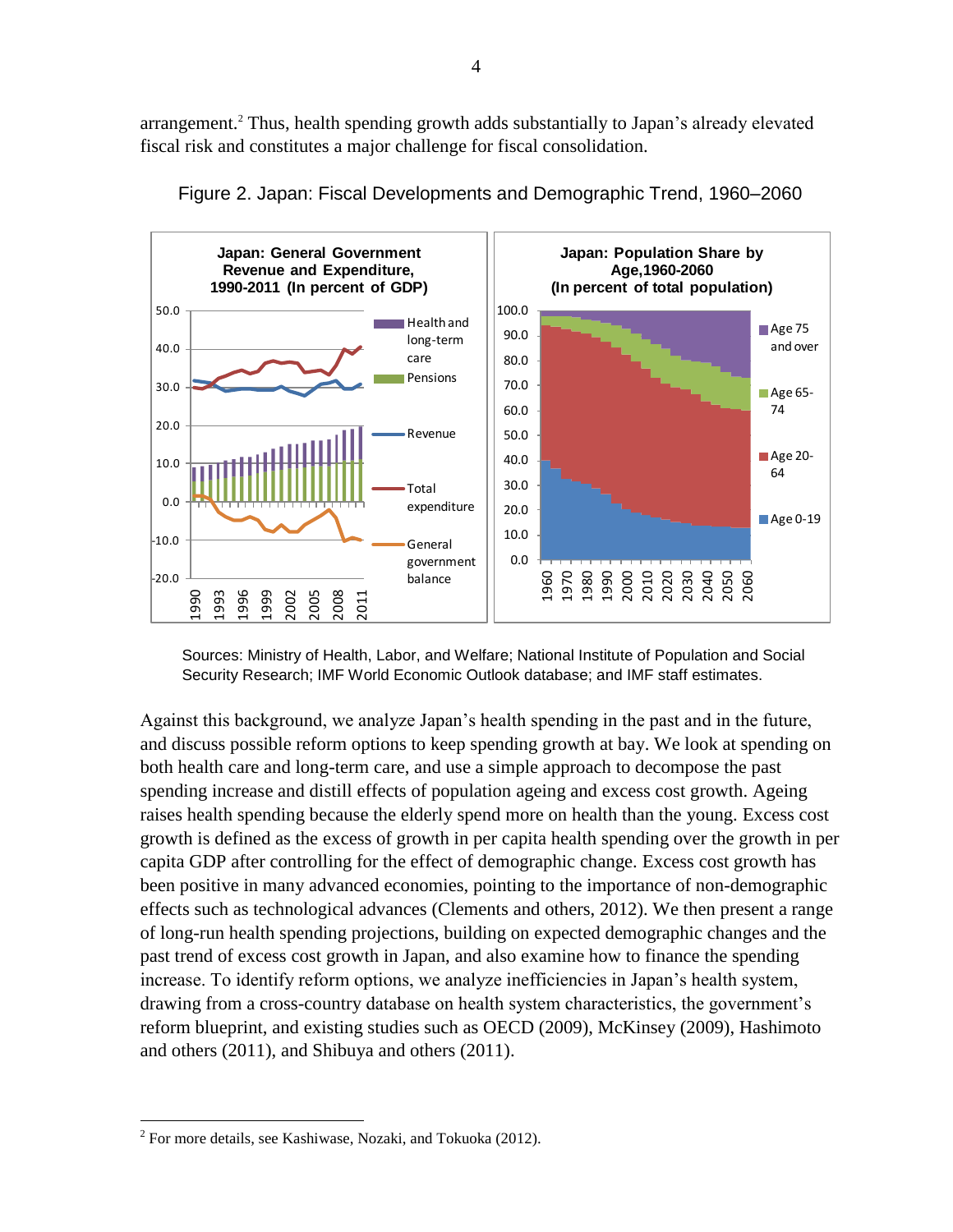arrangement.<sup>2</sup> Thus, health spending growth adds substantially to Japan's already elevated fiscal risk and constitutes a major challenge for fiscal consolidation.





Against this background, we analyze Japan's health spending in the past and in the future, and discuss possible reform options to keep spending growth at bay. We look at spending on both health care and long-term care, and use a simple approach to decompose the past spending increase and distill effects of population ageing and excess cost growth. Ageing raises health spending because the elderly spend more on health than the young. Excess cost growth is defined as the excess of growth in per capita health spending over the growth in per capita GDP after controlling for the effect of demographic change. Excess cost growth has been positive in many advanced economies, pointing to the importance of non-demographic effects such as technological advances (Clements and others, 2012). We then present a range of long-run health spending projections, building on expected demographic changes and the past trend of excess cost growth in Japan, and also examine how to finance the spending increase. To identify reform options, we analyze inefficiencies in Japan's health system, drawing from a cross-country database on health system characteristics, the government's reform blueprint, and existing studies such as OECD (2009), McKinsey (2009), Hashimoto and others (2011), and Shibuya and others (2011).

Sources: Ministry of Health, Labor, and Welfare; National Institute of Population and Social Security Research; IMF World Economic Outlook database; and IMF staff estimates.

<sup>&</sup>lt;sup>2</sup> For more details, see Kashiwase, Nozaki, and Tokuoka (2012).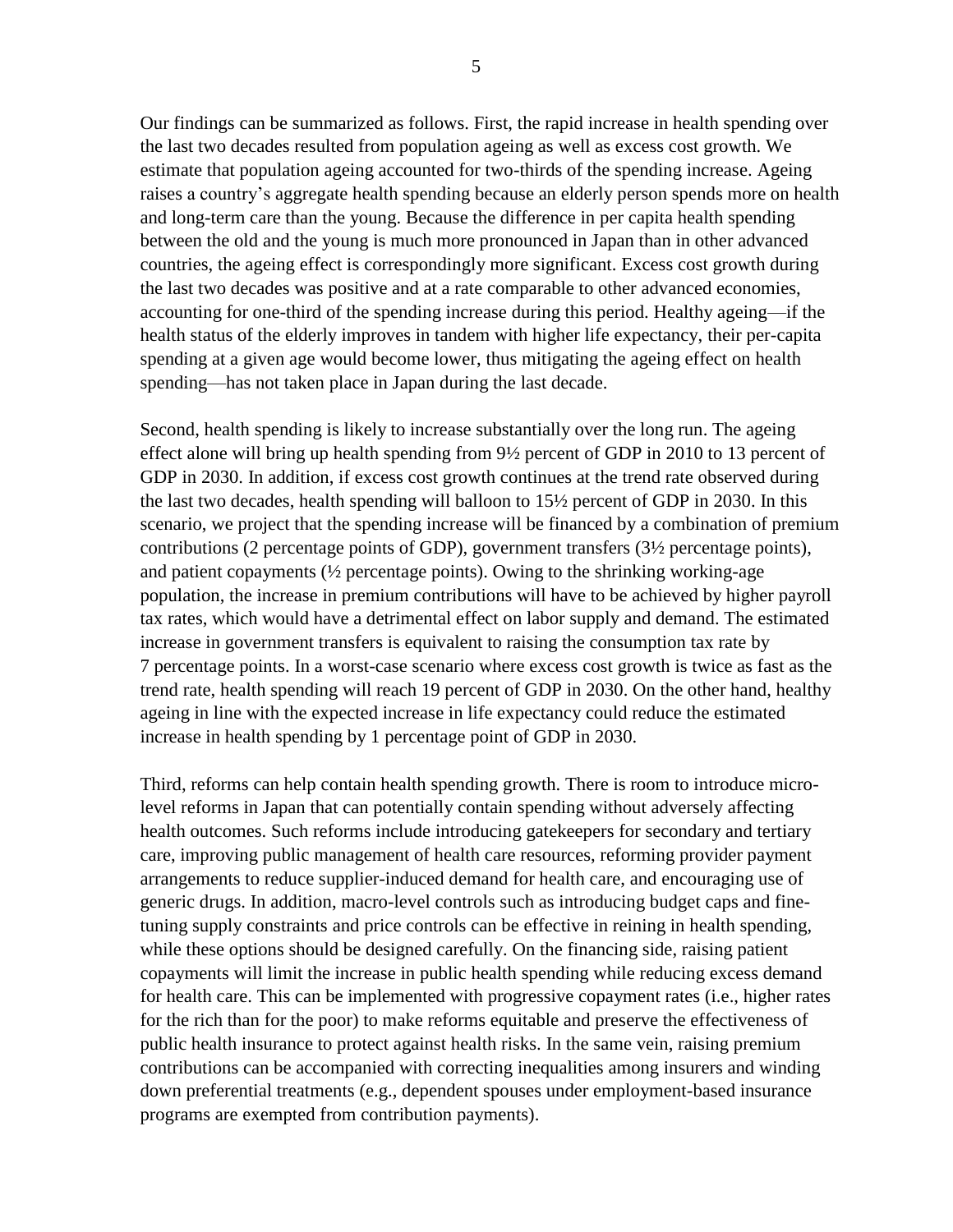Our findings can be summarized as follows. First, the rapid increase in health spending over the last two decades resulted from population ageing as well as excess cost growth. We estimate that population ageing accounted for two-thirds of the spending increase. Ageing raises a country's aggregate health spending because an elderly person spends more on health and long-term care than the young. Because the difference in per capita health spending between the old and the young is much more pronounced in Japan than in other advanced countries, the ageing effect is correspondingly more significant. Excess cost growth during the last two decades was positive and at a rate comparable to other advanced economies, accounting for one-third of the spending increase during this period. Healthy ageing—if the health status of the elderly improves in tandem with higher life expectancy, their per-capita spending at a given age would become lower, thus mitigating the ageing effect on health spending—has not taken place in Japan during the last decade.

Second, health spending is likely to increase substantially over the long run. The ageing effect alone will bring up health spending from 9½ percent of GDP in 2010 to 13 percent of GDP in 2030. In addition, if excess cost growth continues at the trend rate observed during the last two decades, health spending will balloon to 15½ percent of GDP in 2030. In this scenario, we project that the spending increase will be financed by a combination of premium contributions (2 percentage points of GDP), government transfers (3½ percentage points), and patient copayments  $\frac{1}{2}$  percentage points). Owing to the shrinking working-age population, the increase in premium contributions will have to be achieved by higher payroll tax rates, which would have a detrimental effect on labor supply and demand. The estimated increase in government transfers is equivalent to raising the consumption tax rate by 7 percentage points. In a worst-case scenario where excess cost growth is twice as fast as the trend rate, health spending will reach 19 percent of GDP in 2030. On the other hand, healthy ageing in line with the expected increase in life expectancy could reduce the estimated increase in health spending by 1 percentage point of GDP in 2030.

Third, reforms can help contain health spending growth. There is room to introduce microlevel reforms in Japan that can potentially contain spending without adversely affecting health outcomes. Such reforms include introducing gatekeepers for secondary and tertiary care, improving public management of health care resources, reforming provider payment arrangements to reduce supplier-induced demand for health care, and encouraging use of generic drugs. In addition, macro-level controls such as introducing budget caps and finetuning supply constraints and price controls can be effective in reining in health spending, while these options should be designed carefully. On the financing side, raising patient copayments will limit the increase in public health spending while reducing excess demand for health care. This can be implemented with progressive copayment rates (i.e., higher rates for the rich than for the poor) to make reforms equitable and preserve the effectiveness of public health insurance to protect against health risks. In the same vein, raising premium contributions can be accompanied with correcting inequalities among insurers and winding down preferential treatments (e.g., dependent spouses under employment-based insurance programs are exempted from contribution payments).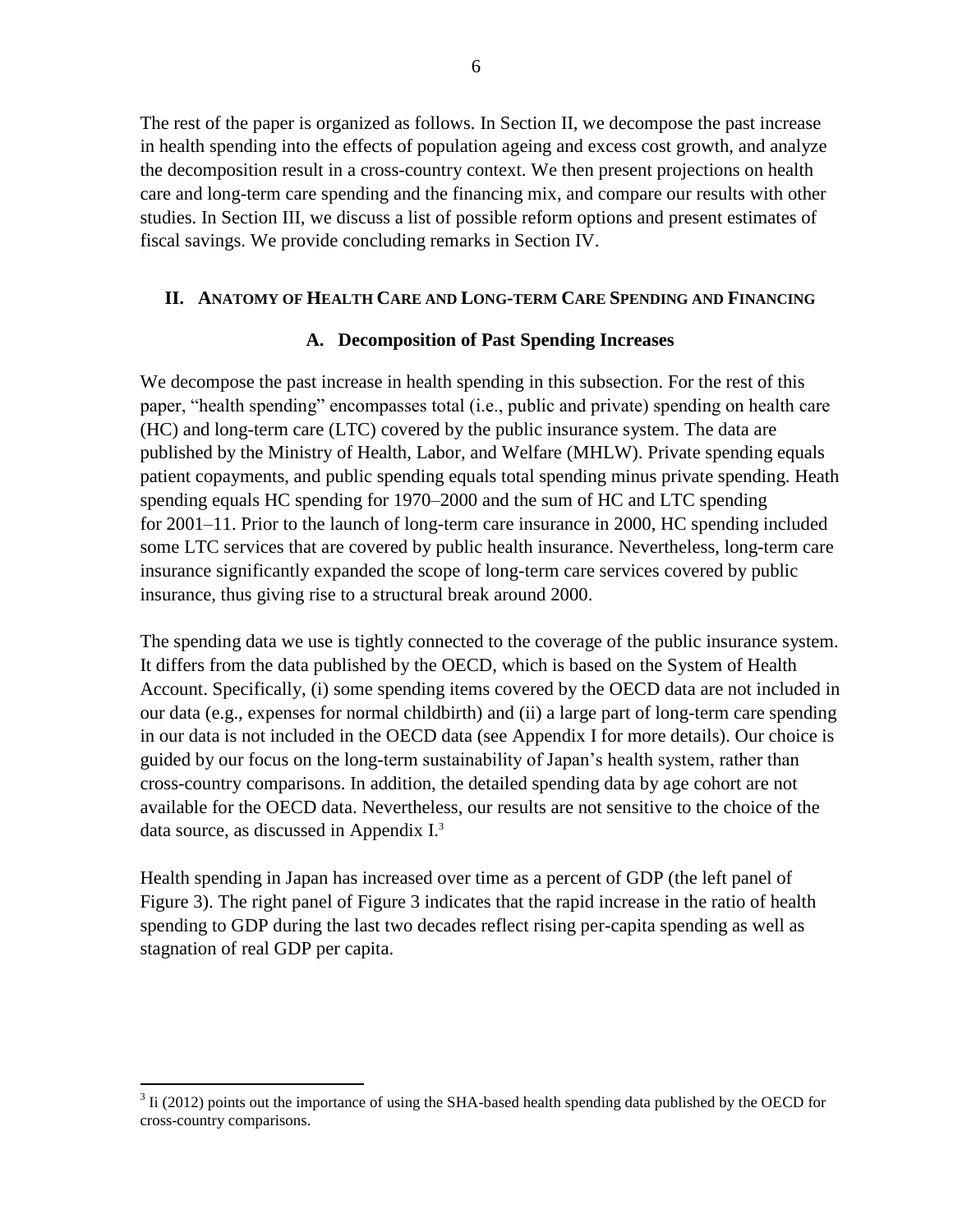The rest of the paper is organized as follows. In Section II, we decompose the past increase in health spending into the effects of population ageing and excess cost growth, and analyze the decomposition result in a cross-country context. We then present projections on health care and long-term care spending and the financing mix, and compare our results with other studies. In Section III, we discuss a list of possible reform options and present estimates of fiscal savings. We provide concluding remarks in Section IV.

## **II. ANATOMY OF HEALTH CARE AND LONG-TERM CARE SPENDING AND FINANCING**

## **A. Decomposition of Past Spending Increases**

We decompose the past increase in health spending in this subsection. For the rest of this paper, "health spending" encompasses total (i.e., public and private) spending on health care (HC) and long-term care (LTC) covered by the public insurance system. The data are published by the Ministry of Health, Labor, and Welfare (MHLW). Private spending equals patient copayments, and public spending equals total spending minus private spending. Heath spending equals HC spending for 1970–2000 and the sum of HC and LTC spending for 2001–11. Prior to the launch of long-term care insurance in 2000, HC spending included some LTC services that are covered by public health insurance. Nevertheless, long-term care insurance significantly expanded the scope of long-term care services covered by public insurance, thus giving rise to a structural break around 2000.

The spending data we use is tightly connected to the coverage of the public insurance system. It differs from the data published by the OECD, which is based on the System of Health Account. Specifically, (i) some spending items covered by the OECD data are not included in our data (e.g., expenses for normal childbirth) and (ii) a large part of long-term care spending in our data is not included in the OECD data (see Appendix I for more details). Our choice is guided by our focus on the long-term sustainability of Japan's health system, rather than cross-country comparisons. In addition, the detailed spending data by age cohort are not available for the OECD data. Nevertheless, our results are not sensitive to the choice of the data source, as discussed in Appendix I. 3

Health spending in Japan has increased over time as a percent of GDP (the left panel of Figure 3). The right panel of Figure 3 indicates that the rapid increase in the ratio of health spending to GDP during the last two decades reflect rising per-capita spending as well as stagnation of real GDP per capita.

 $3$  Ii (2012) points out the importance of using the SHA-based health spending data published by the OECD for cross-country comparisons.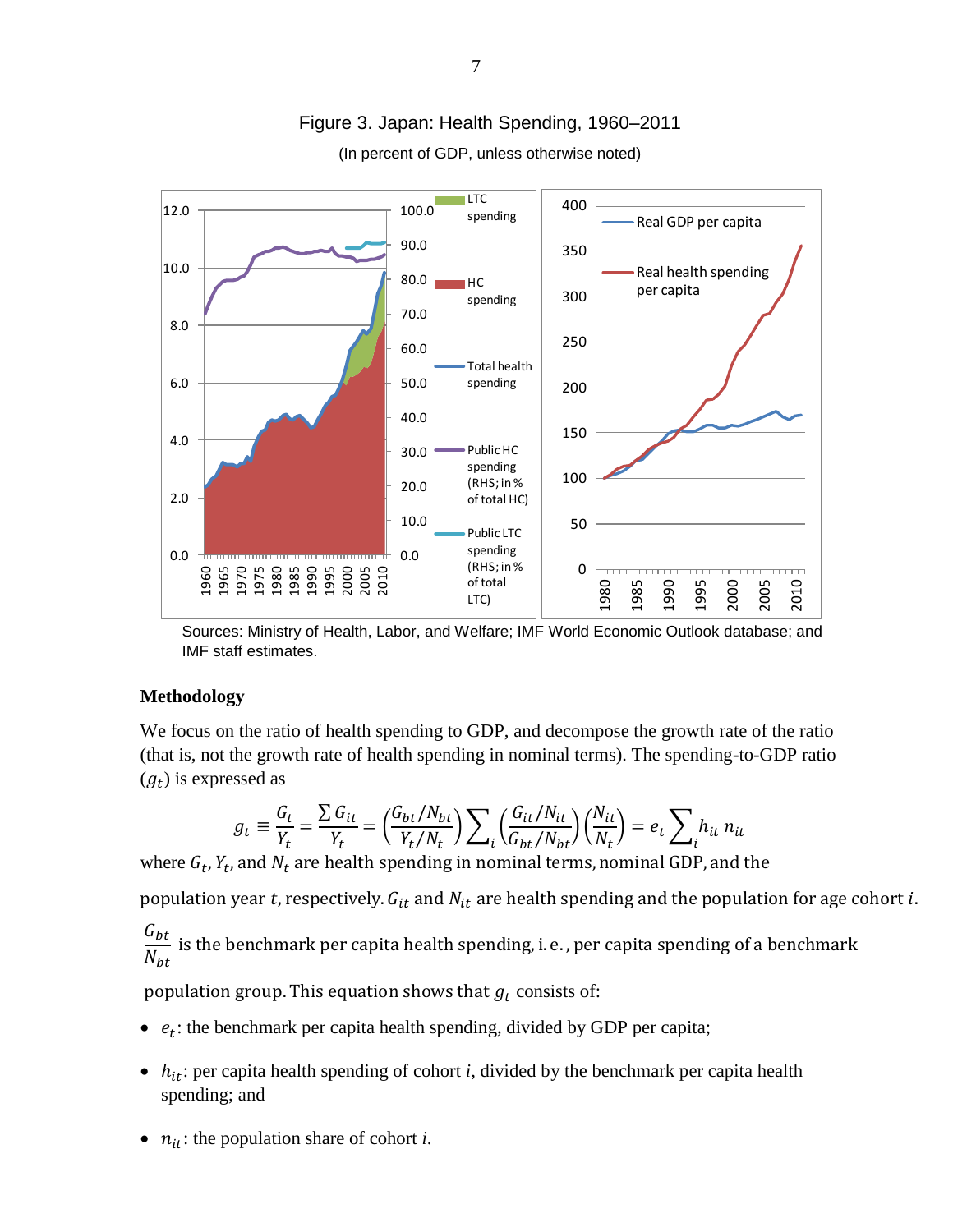

# Figure 3. Japan: Health Spending, 1960–2011

(In percent of GDP, unless otherwise noted)

Sources: Ministry of Health, Labor, and Welfare; IMF World Economic Outlook database; and IMF staff estimates.

#### **Methodology**

We focus on the ratio of health spending to GDP, and decompose the growth rate of the ratio (that is, not the growth rate of health spending in nominal terms). The spending-to-GDP ratio  $(g_t)$  is expressed as

$$
g_t \equiv \frac{G_t}{Y_t} = \frac{\sum G_{it}}{Y_t} = \left(\frac{G_{bt}/N_{bt}}{Y_t/N_t}\right) \sum_i \left(\frac{G_{it}/N_{it}}{G_{bt}/N_{bt}}\right) \left(\frac{N_{it}}{N_t}\right) = e_t \sum_i h_{it} n_{it}
$$

where  $G_t$ ,  $Y_t$ ,

population year t, respectively.  $G_{it}$  and  $N_{it}$  are health spending and the population for age cohort i.

G  $\overline{N}$ i

population group. This equation shows that  $g_t$  consists of:

- $\bullet$   $e_t$ : the benchmark per capita health spending, divided by GDP per capita;
- $\bullet$   $h_{it}$ : per capita health spending of cohort *i*, divided by the benchmark per capita health spending; and
- $\bullet$   $n_{it}$ : the population share of cohort *i*.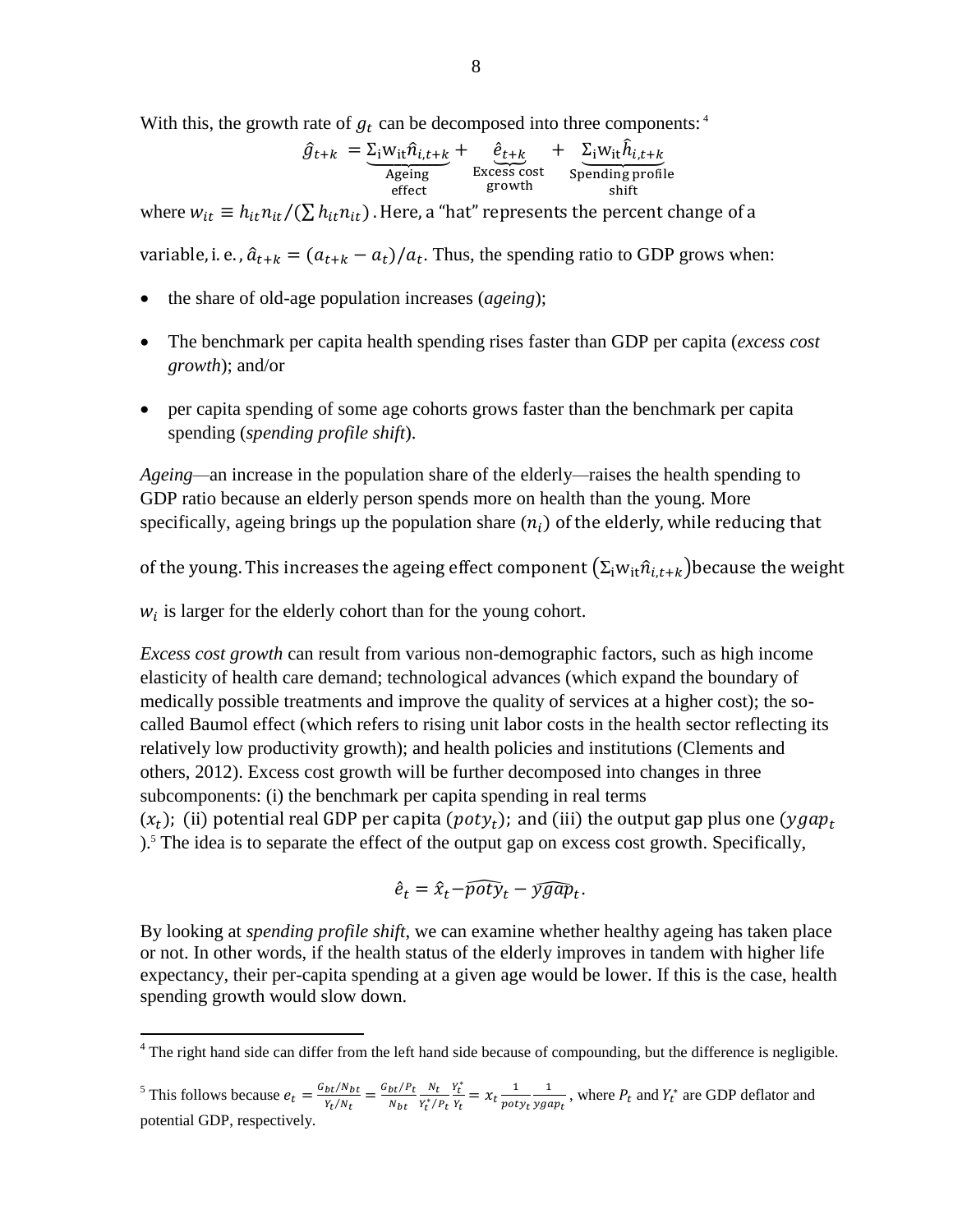With this, the growth rate of  $g_t$  can be decomposed into three components: <sup>4</sup>

$$
\hat{g}_{t+k} = \underbrace{\Sigma_{i} w_{it} \hat{n}_{i,t+k}}_{\text{Ageing}} + \underbrace{\hat{e}_{t+k}}_{\text{Excess cost}} + \underbrace{\Sigma_{i} w_{it} \hat{h}_{i,t+k}}_{\text{Spending profile}}
$$

where  $w_{it} \equiv h_{it} n_{it}/(\sum h_{it} n_{it})$ . Here, a "hat" represents the percent change of a

variable, i. e.,  $\hat{a}_{t+k} = (a_{t+k} - a_t)/a_t$ . Thus, the spending ratio to GDP grows when:

- the share of old-age population increases (*ageing*);
- The benchmark per capita health spending rises faster than GDP per capita (*excess cost growth*); and/or
- per capita spending of some age cohorts grows faster than the benchmark per capita spending (*spending profile shift*).

*Ageing—*an increase in the population share of the elderly*—*raises the health spending to GDP ratio because an elderly person spends more on health than the young. More specifically, ageing brings up the population share  $(n<sub>i</sub>)$  of the elderly, while reducing that

of the young. This increases the ageing effect component  $(\Sigma_i w_{i\tau} \hat{n}_{i,t+k})$  because the weight

 $w_i$  is larger for the elderly cohort than for the young cohort.

 $\overline{a}$ 

*Excess cost growth* can result from various non-demographic factors, such as high income elasticity of health care demand; technological advances (which expand the boundary of medically possible treatments and improve the quality of services at a higher cost); the socalled Baumol effect (which refers to rising unit labor costs in the health sector reflecting its relatively low productivity growth); and health policies and institutions (Clements and others, 2012). Excess cost growth will be further decomposed into changes in three subcomponents: (i) the benchmark per capita spending in real terms  $(x_t)$ ; (ii) potential real GDP per capita (poty<sub>t</sub>); and (iii) the output gap plus one (ygap<sub>t</sub>) ).<sup>5</sup> The idea is to separate the effect of the output gap on excess cost growth. Specifically,

$$
\hat{e}_t = \hat{x}_t - \widehat{pot} \hat{y}_t - \widehat{ygap}_t.
$$

By looking at *spending profile shift*, we can examine whether healthy ageing has taken place or not. In other words, if the health status of the elderly improves in tandem with higher life expectancy, their per-capita spending at a given age would be lower. If this is the case, health spending growth would slow down.

 $4$  The right hand side can differ from the left hand side because of compounding, but the difference is negligible.

<sup>&</sup>lt;sup>5</sup> This follows because  $e_t = \frac{G}{L}$  $\frac{bt/N_{bt}}{Y_t/N_t} = \frac{G}{t}$ N N  $\overline{Y_t^*}$  $Y_t^*$  $\frac{Y_t^*}{Y_t} = X_t \frac{1}{pot}$  $\overline{p}$  $\mathbf{1}$  $\frac{1}{\text{ygap}_t}$ , where  $P_t$  and  $Y_t^*$  are GDP deflator and potential GDP, respectively.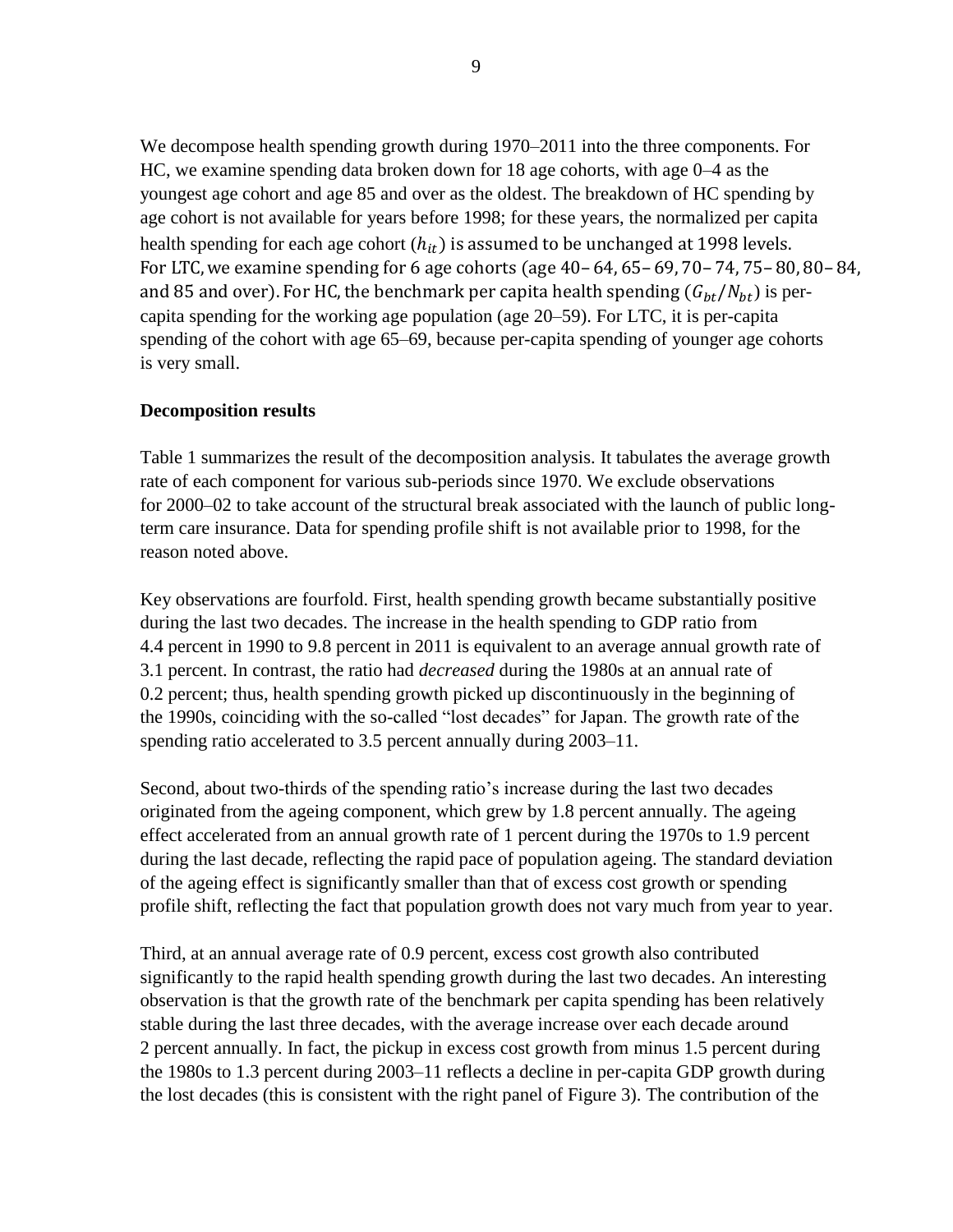We decompose health spending growth during 1970–2011 into the three components. For HC, we examine spending data broken down for 18 age cohorts, with age 0–4 as the youngest age cohort and age 85 and over as the oldest. The breakdown of HC spending by age cohort is not available for years before 1998; for these years, the normalized per capita health spending for each age cohort  $(h_{it})$  is assumed to be unchanged at 1998 levels. For LTC, we examine spending for 6 age cohorts (age 40-64, 65-69, 70-74, 75-80, 80-84, and 85 and over). For HC, the benchmark per capita health spending  $(G_{bt}/N_{bt})$  is percapita spending for the working age population (age 20–59). For LTC, it is per-capita spending of the cohort with age 65–69, because per-capita spending of younger age cohorts is very small.

#### **Decomposition results**

Table 1 summarizes the result of the decomposition analysis. It tabulates the average growth rate of each component for various sub-periods since 1970. We exclude observations for 2000–02 to take account of the structural break associated with the launch of public longterm care insurance. Data for spending profile shift is not available prior to 1998, for the reason noted above.

Key observations are fourfold. First, health spending growth became substantially positive during the last two decades. The increase in the health spending to GDP ratio from 4.4 percent in 1990 to 9.8 percent in 2011 is equivalent to an average annual growth rate of 3.1 percent. In contrast, the ratio had *decreased* during the 1980s at an annual rate of 0.2 percent; thus, health spending growth picked up discontinuously in the beginning of the 1990s, coinciding with the so-called "lost decades" for Japan. The growth rate of the spending ratio accelerated to 3.5 percent annually during 2003–11.

Second, about two-thirds of the spending ratio's increase during the last two decades originated from the ageing component, which grew by 1.8 percent annually. The ageing effect accelerated from an annual growth rate of 1 percent during the 1970s to 1.9 percent during the last decade, reflecting the rapid pace of population ageing. The standard deviation of the ageing effect is significantly smaller than that of excess cost growth or spending profile shift, reflecting the fact that population growth does not vary much from year to year.

Third, at an annual average rate of 0.9 percent, excess cost growth also contributed significantly to the rapid health spending growth during the last two decades. An interesting observation is that the growth rate of the benchmark per capita spending has been relatively stable during the last three decades, with the average increase over each decade around 2 percent annually. In fact, the pickup in excess cost growth from minus 1.5 percent during the 1980s to 1.3 percent during 2003–11 reflects a decline in per-capita GDP growth during the lost decades (this is consistent with the right panel of Figure 3). The contribution of the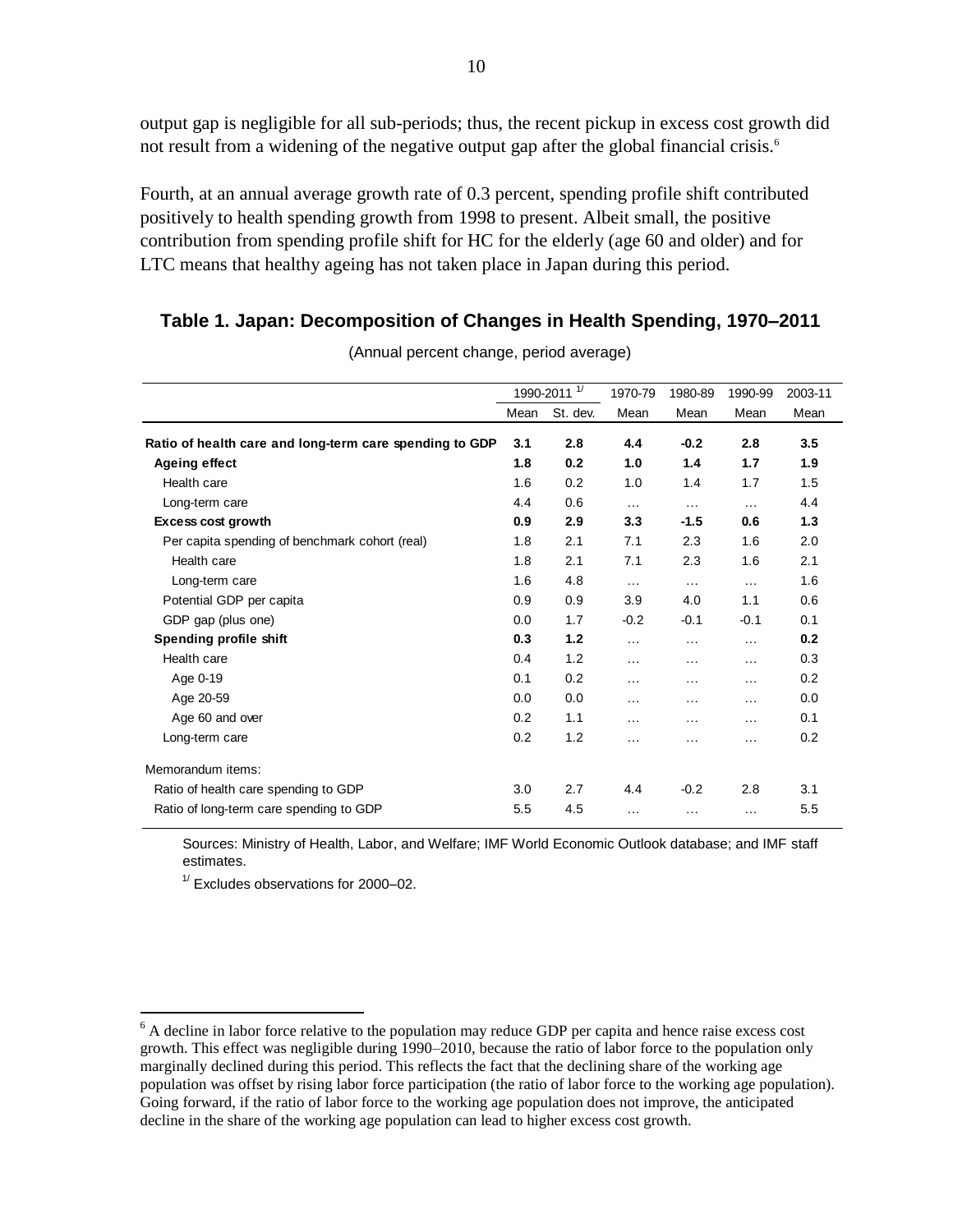output gap is negligible for all sub-periods; thus, the recent pickup in excess cost growth did not result from a widening of the negative output gap after the global financial crisis.<sup>6</sup>

Fourth, at an annual average growth rate of 0.3 percent, spending profile shift contributed positively to health spending growth from 1998 to present. Albeit small, the positive contribution from spending profile shift for HC for the elderly (age 60 and older) and for LTC means that healthy ageing has not taken place in Japan during this period.

#### **Table 1. Japan: Decomposition of Changes in Health Spending, 1970–2011**

|                                                         | 1990-2011 <sup>1/</sup> |          |          |          | 1970-79  | 1980-89 | 1990-99 | 2003-11 |
|---------------------------------------------------------|-------------------------|----------|----------|----------|----------|---------|---------|---------|
|                                                         | Mean                    | St. dev. | Mean     | Mean     | Mean     | Mean    |         |         |
| Ratio of health care and long-term care spending to GDP | 3.1                     | 2.8      | 4.4      | $-0.2$   | 2.8      | 3.5     |         |         |
| <b>Ageing effect</b>                                    | 1.8                     | 0.2      | 1.0      | 1.4      | 1.7      | 1.9     |         |         |
| Health care                                             | 1.6                     | 0.2      | 1.0      | 1.4      | 1.7      | 1.5     |         |         |
| Long-term care                                          | 4.4                     | 0.6      | $\cdots$ | $\cdots$ | $\cdots$ | 4.4     |         |         |
| <b>Excess cost growth</b>                               | 0.9                     | 2.9      | 3.3      | $-1.5$   | 0.6      | 1.3     |         |         |
| Per capita spending of benchmark cohort (real)          | 1.8                     | 2.1      | 7.1      | 2.3      | 1.6      | 2.0     |         |         |
| Health care                                             | 1.8                     | 2.1      | 7.1      | 2.3      | 1.6      | 2.1     |         |         |
| Long-term care                                          | 1.6                     | 4.8      | $\cdots$ | $\cdots$ | $\cdots$ | 1.6     |         |         |
| Potential GDP per capita                                | 0.9                     | 0.9      | 3.9      | 4.0      | 1.1      | 0.6     |         |         |
| GDP gap (plus one)                                      | 0.0                     | 1.7      | $-0.2$   | $-0.1$   | $-0.1$   | 0.1     |         |         |
| Spending profile shift                                  | 0.3                     | 1.2      | $\cdots$ | $\cdots$ | .        | 0.2     |         |         |
| Health care                                             | 0.4                     | 1.2      | $\cdots$ | $\cdots$ | $\cdots$ | 0.3     |         |         |
| Age 0-19                                                | 0.1                     | 0.2      | $\cdots$ | $\cdots$ | $\cdots$ | 0.2     |         |         |
| Age 20-59                                               | 0.0                     | 0.0      | .        | .        | .        | 0.0     |         |         |
| Age 60 and over                                         | 0.2                     | 1.1      | .        | .        | $\cdots$ | 0.1     |         |         |
| Long-term care                                          | 0.2                     | 1.2      | $\cdots$ | $\cdots$ | $\cdots$ | 0.2     |         |         |
| Memorandum items:                                       |                         |          |          |          |          |         |         |         |
| Ratio of health care spending to GDP                    | 3.0                     | 2.7      | 4.4      | $-0.2$   | 2.8      | 3.1     |         |         |
| Ratio of long-term care spending to GDP                 | 5.5                     | 4.5      | $\cdots$ | $\cdots$ | $\cdots$ | 5.5     |         |         |

(Annual percent change, period average)

Sources: Ministry of Health, Labor, and Welfare; IMF World Economic Outlook database; and IMF staff estimates.

 $1/$  Excludes observations for 2000–02.

<sup>&</sup>lt;sup>6</sup> A decline in labor force relative to the population may reduce GDP per capita and hence raise excess cost growth. This effect was negligible during 1990–2010, because the ratio of labor force to the population only marginally declined during this period. This reflects the fact that the declining share of the working age population was offset by rising labor force participation (the ratio of labor force to the working age population). Going forward, if the ratio of labor force to the working age population does not improve, the anticipated decline in the share of the working age population can lead to higher excess cost growth.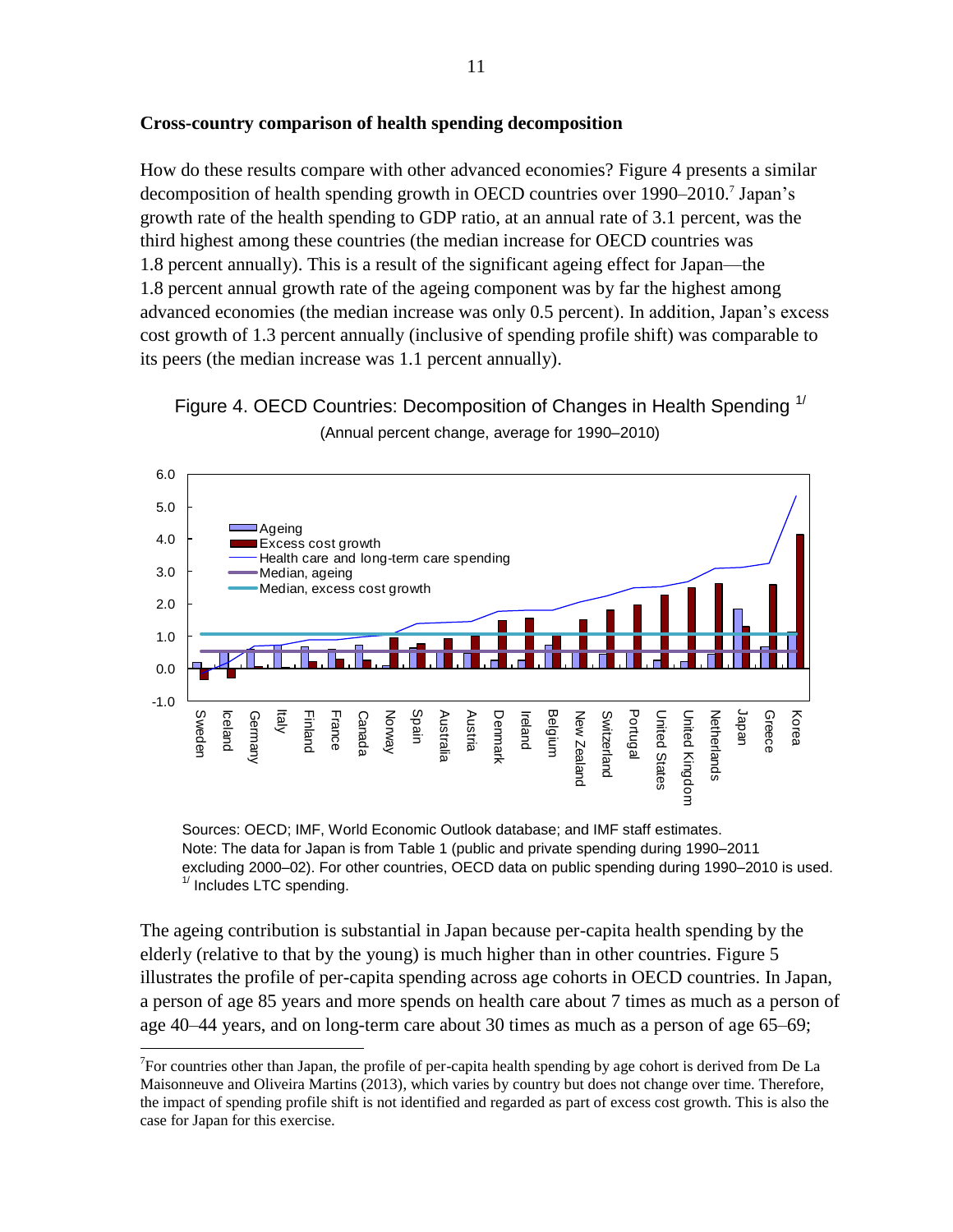## **Cross-country comparison of health spending decomposition**

How do these results compare with other advanced economies? Figure 4 presents a similar decomposition of health spending growth in OECD countries over 1990–2010.<sup>7</sup> Japan's growth rate of the health spending to GDP ratio, at an annual rate of 3.1 percent, was the third highest among these countries (the median increase for OECD countries was 1.8 percent annually). This is a result of the significant ageing effect for Japan—the 1.8 percent annual growth rate of the ageing component was by far the highest among advanced economies (the median increase was only 0.5 percent). In addition, Japan's excess cost growth of 1.3 percent annually (inclusive of spending profile shift) was comparable to its peers (the median increase was 1.1 percent annually).





Sources: OECD; IMF, World Economic Outlook database; and IMF staff estimates. Note: The data for Japan is from Table 1 (public and private spending during 1990–2011 excluding 2000–02). For other countries, OECD data on public spending during 1990–2010 is used.  $1/$  Includes LTC spending.

The ageing contribution is substantial in Japan because per-capita health spending by the elderly (relative to that by the young) is much higher than in other countries. Figure 5 illustrates the profile of per-capita spending across age cohorts in OECD countries. In Japan, a person of age 85 years and more spends on health care about 7 times as much as a person of age 40–44 years, and on long-term care about 30 times as much as a person of age 65–69;

<sup>&</sup>lt;sup>7</sup>For countries other than Japan, the profile of per-capita health spending by age cohort is derived from De La Maisonneuve and Oliveira Martins (2013), which varies by country but does not change over time. Therefore, the impact of spending profile shift is not identified and regarded as part of excess cost growth. This is also the case for Japan for this exercise.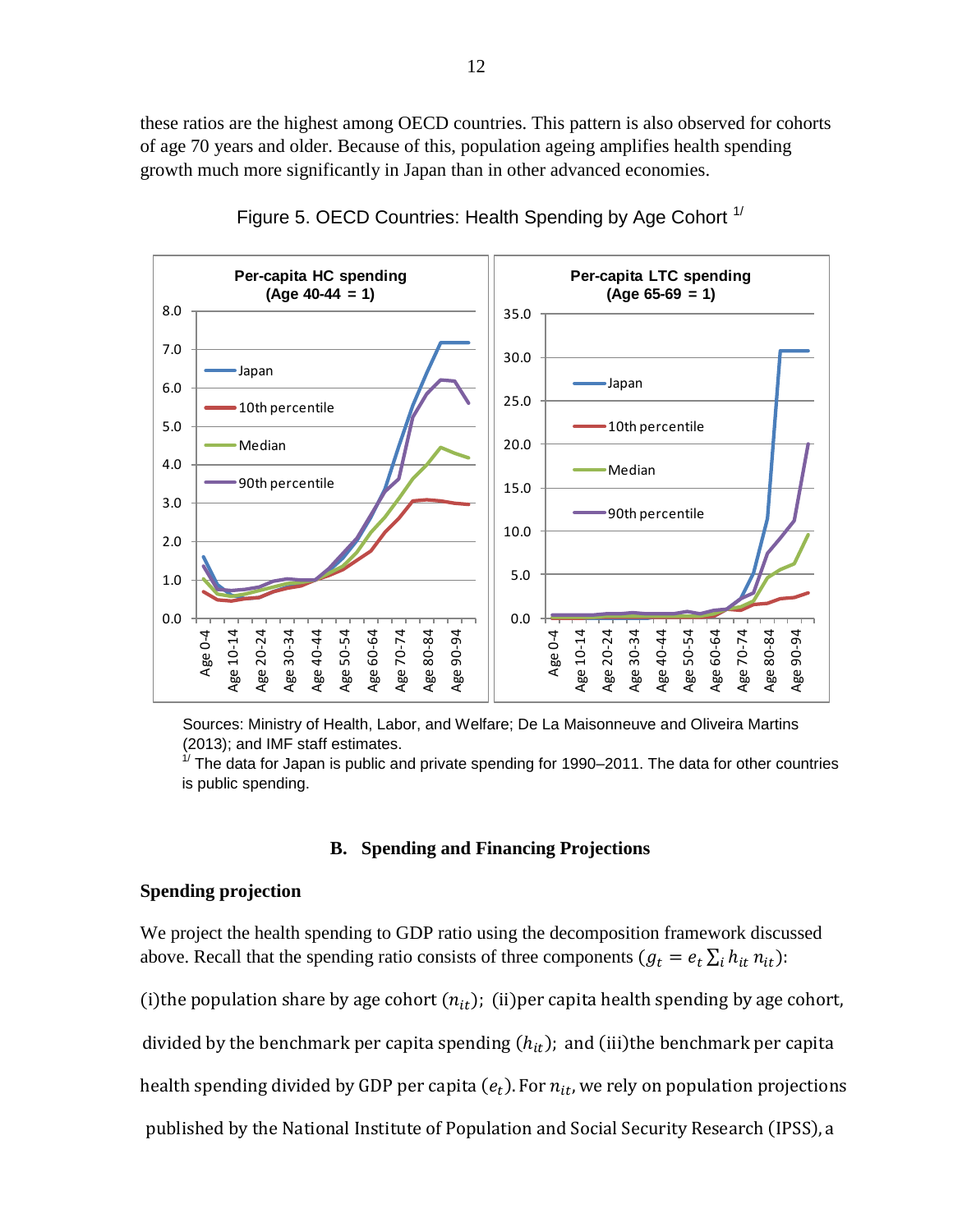these ratios are the highest among OECD countries. This pattern is also observed for cohorts of age 70 years and older. Because of this, population ageing amplifies health spending growth much more significantly in Japan than in other advanced economies.



Figure 5. OECD Countries: Health Spending by Age Cohort  $1/$ 

Sources: Ministry of Health, Labor, and Welfare; De La Maisonneuve and Oliveira Martins (2013); and IMF staff estimates.

 $1/$  The data for Japan is public and private spending for 1990–2011. The data for other countries is public spending.

#### **B. Spending and Financing Projections**

#### **Spending projection**

We project the health spending to GDP ratio using the decomposition framework discussed above. Recall that the spending ratio consists of three components  $(g_t = e_t \sum_i h_{it} n_{it})$ :

(i) the population share by age cohort  $(n_{it})$ ; (ii) per capita health spending by age cohort,

divided by the benchmark per capita spending  $(h_{it})$ ; and (iii)the benchmark per capita

health spending divided by GDP per capita  $(e_t)$ 

published by the National Institute of Population and Social Security Research (IPSS), a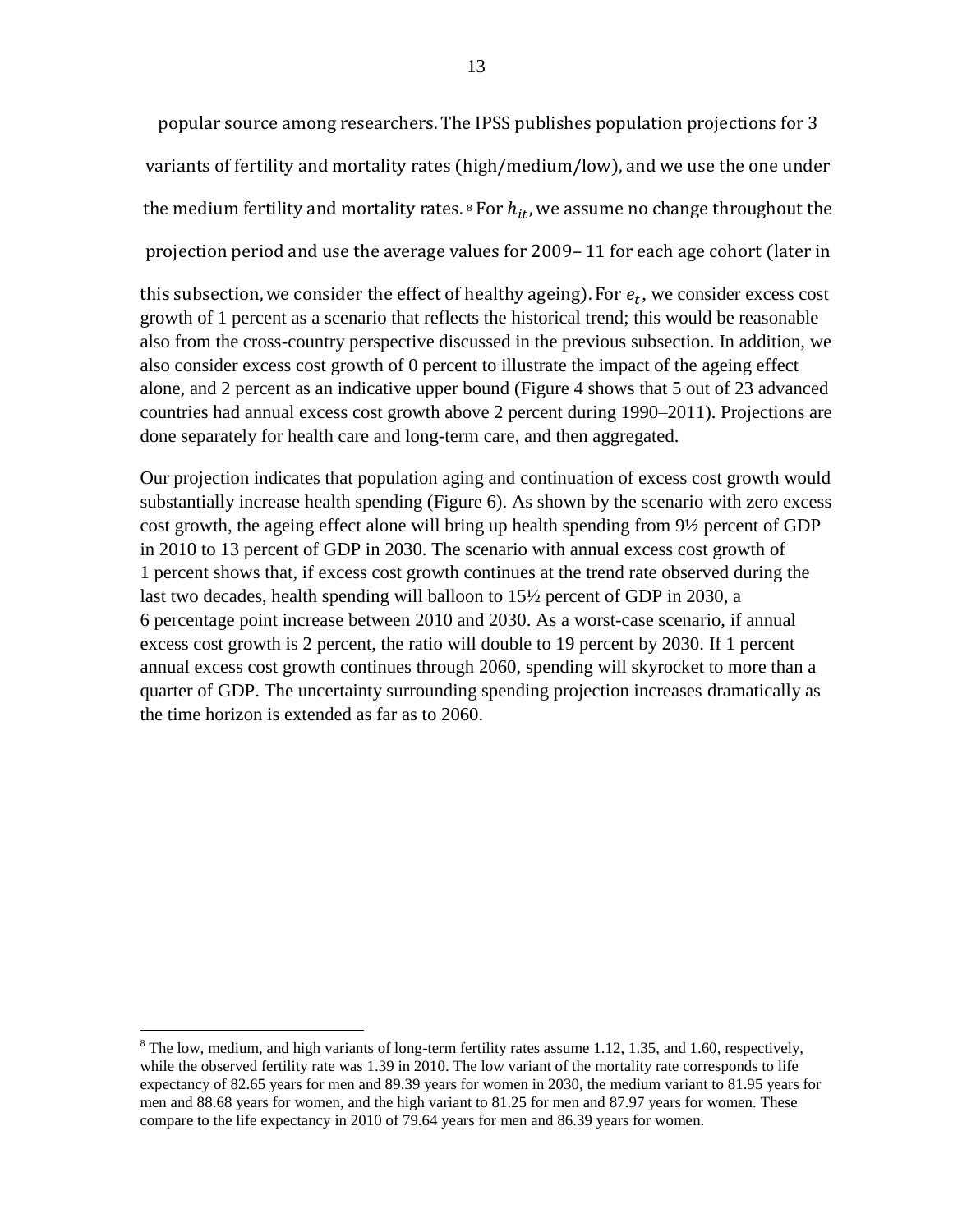popular source among researchers. The IPSS publishes population projections for 3 variants of fertility and mortality rates (high/medium/low), and we use the one under the medium fertility and mortality rates.<sup>8</sup> F projection period and use the average values for 2009–11 for each age cohort (later in

this subsection, we consider the effect of healthy ageing). For  $e_t$ , we consider excess cost growth of 1 percent as a scenario that reflects the historical trend; this would be reasonable also from the cross-country perspective discussed in the previous subsection. In addition, we also consider excess cost growth of 0 percent to illustrate the impact of the ageing effect alone, and 2 percent as an indicative upper bound (Figure 4 shows that 5 out of 23 advanced countries had annual excess cost growth above 2 percent during 1990–2011). Projections are done separately for health care and long-term care, and then aggregated.

Our projection indicates that population aging and continuation of excess cost growth would substantially increase health spending (Figure 6). As shown by the scenario with zero excess cost growth, the ageing effect alone will bring up health spending from 9½ percent of GDP in 2010 to 13 percent of GDP in 2030. The scenario with annual excess cost growth of 1 percent shows that, if excess cost growth continues at the trend rate observed during the last two decades, health spending will balloon to 15½ percent of GDP in 2030, a 6 percentage point increase between 2010 and 2030. As a worst-case scenario, if annual excess cost growth is 2 percent, the ratio will double to 19 percent by 2030. If 1 percent annual excess cost growth continues through 2060, spending will skyrocket to more than a quarter of GDP. The uncertainty surrounding spending projection increases dramatically as the time horizon is extended as far as to 2060.

 $\overline{a}$  $8$  The low, medium, and high variants of long-term fertility rates assume 1.12, 1.35, and 1.60, respectively, while the observed fertility rate was 1.39 in 2010. The low variant of the mortality rate corresponds to life expectancy of 82.65 years for men and 89.39 years for women in 2030, the medium variant to 81.95 years for men and 88.68 years for women, and the high variant to 81.25 for men and 87.97 years for women. These compare to the life expectancy in 2010 of 79.64 years for men and 86.39 years for women.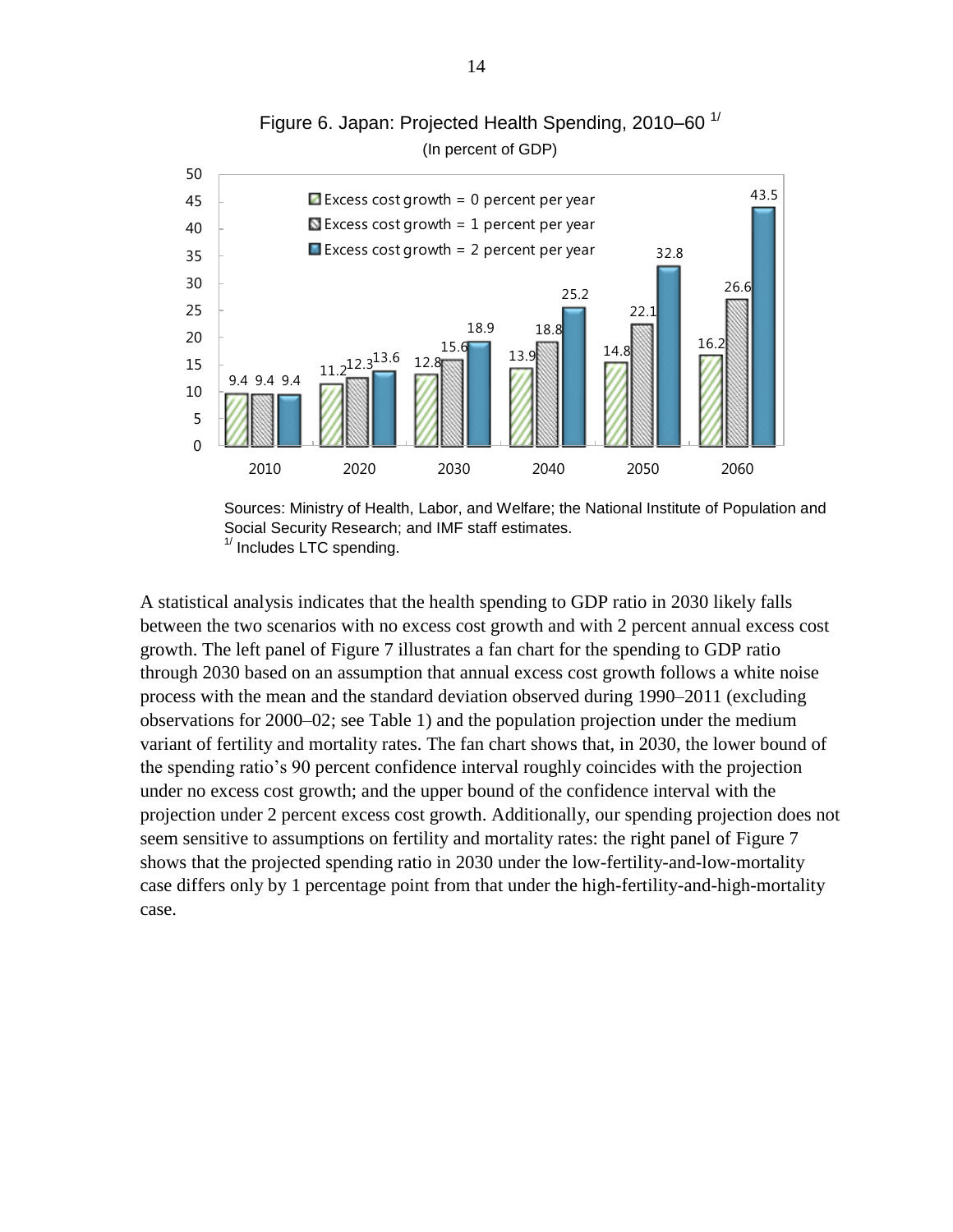

Figure 6. Japan: Projected Health Spending, 2010–60<sup>1/</sup> (In percent of GDP)

A statistical analysis indicates that the health spending to GDP ratio in 2030 likely falls between the two scenarios with no excess cost growth and with 2 percent annual excess cost growth. The left panel of Figure 7 illustrates a fan chart for the spending to GDP ratio through 2030 based on an assumption that annual excess cost growth follows a white noise process with the mean and the standard deviation observed during 1990–2011 (excluding observations for 2000–02; see Table 1) and the population projection under the medium variant of fertility and mortality rates. The fan chart shows that, in 2030, the lower bound of the spending ratio's 90 percent confidence interval roughly coincides with the projection under no excess cost growth; and the upper bound of the confidence interval with the projection under 2 percent excess cost growth. Additionally, our spending projection does not seem sensitive to assumptions on fertility and mortality rates: the right panel of Figure 7 shows that the projected spending ratio in 2030 under the low-fertility-and-low-mortality case differs only by 1 percentage point from that under the high-fertility-and-high-mortality case.

Sources: Ministry of Health, Labor, and Welfare; the National Institute of Population and Social Security Research; and IMF staff estimates.  $1/$  Includes LTC spending.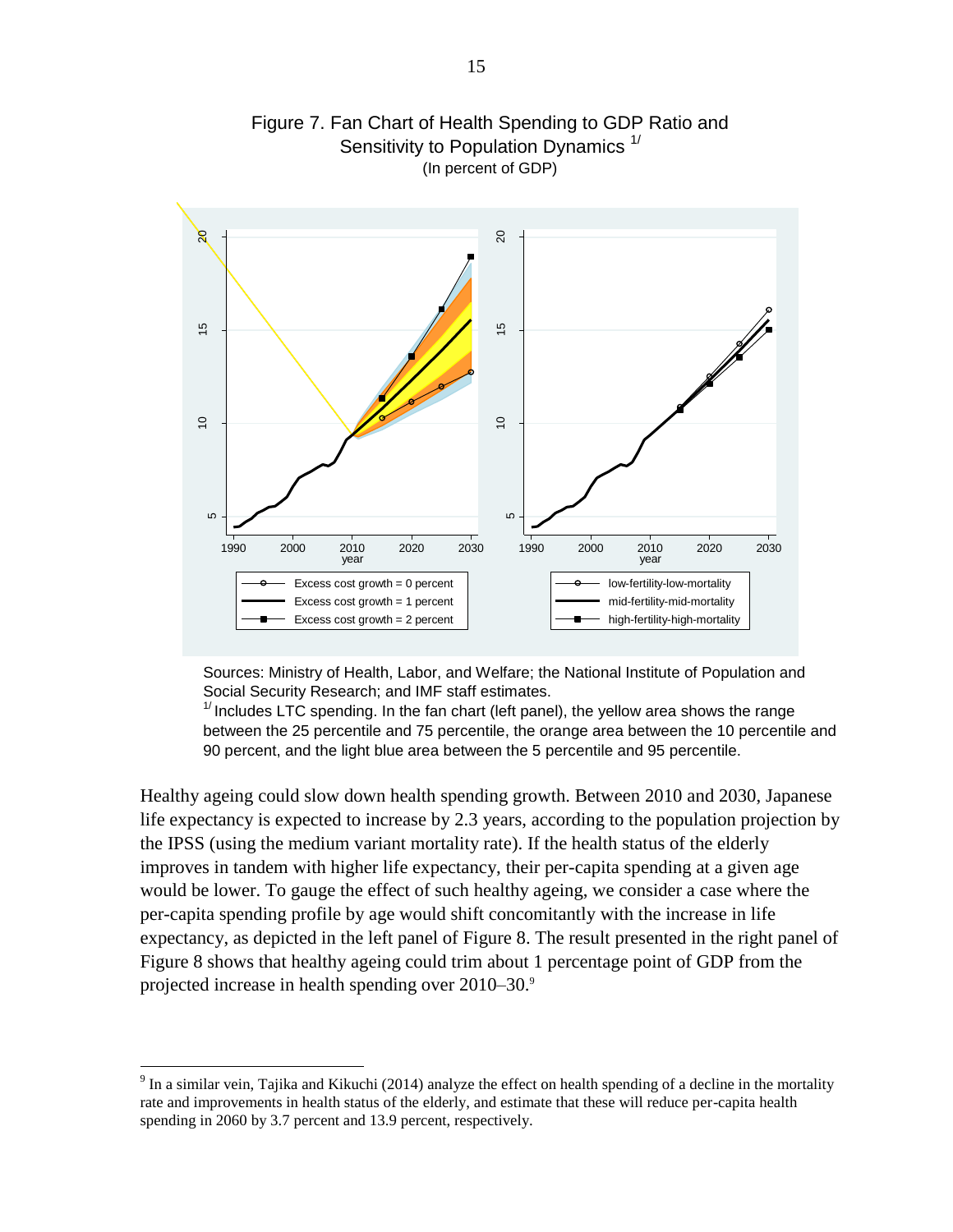

Figure 7. Fan Chart of Health Spending to GDP Ratio and Sensitivity to Population Dynamics  $<sup>1</sup>$ </sup> (In percent of GDP)

Sources: Ministry of Health, Labor, and Welfare; the National Institute of Population and Social Security Research; and IMF staff estimates.

 $1/$  Includes LTC spending. In the fan chart (left panel), the yellow area shows the range between the 25 percentile and 75 percentile, the orange area between the 10 percentile and 90 percent, and the light blue area between the 5 percentile and 95 percentile.

Healthy ageing could slow down health spending growth. Between 2010 and 2030, Japanese life expectancy is expected to increase by 2.3 years, according to the population projection by the IPSS (using the medium variant mortality rate). If the health status of the elderly improves in tandem with higher life expectancy, their per-capita spending at a given age would be lower. To gauge the effect of such healthy ageing, we consider a case where the per-capita spending profile by age would shift concomitantly with the increase in life expectancy, as depicted in the left panel of Figure 8. The result presented in the right panel of Figure 8 shows that healthy ageing could trim about 1 percentage point of GDP from the projected increase in health spending over 2010–30.9

 $9 \text{ In a similar vein, Tajika and Kikuchi (2014) analyze the effect on health spending of a decline in the mortality.}$ rate and improvements in health status of the elderly, and estimate that these will reduce per-capita health spending in 2060 by 3.7 percent and 13.9 percent, respectively.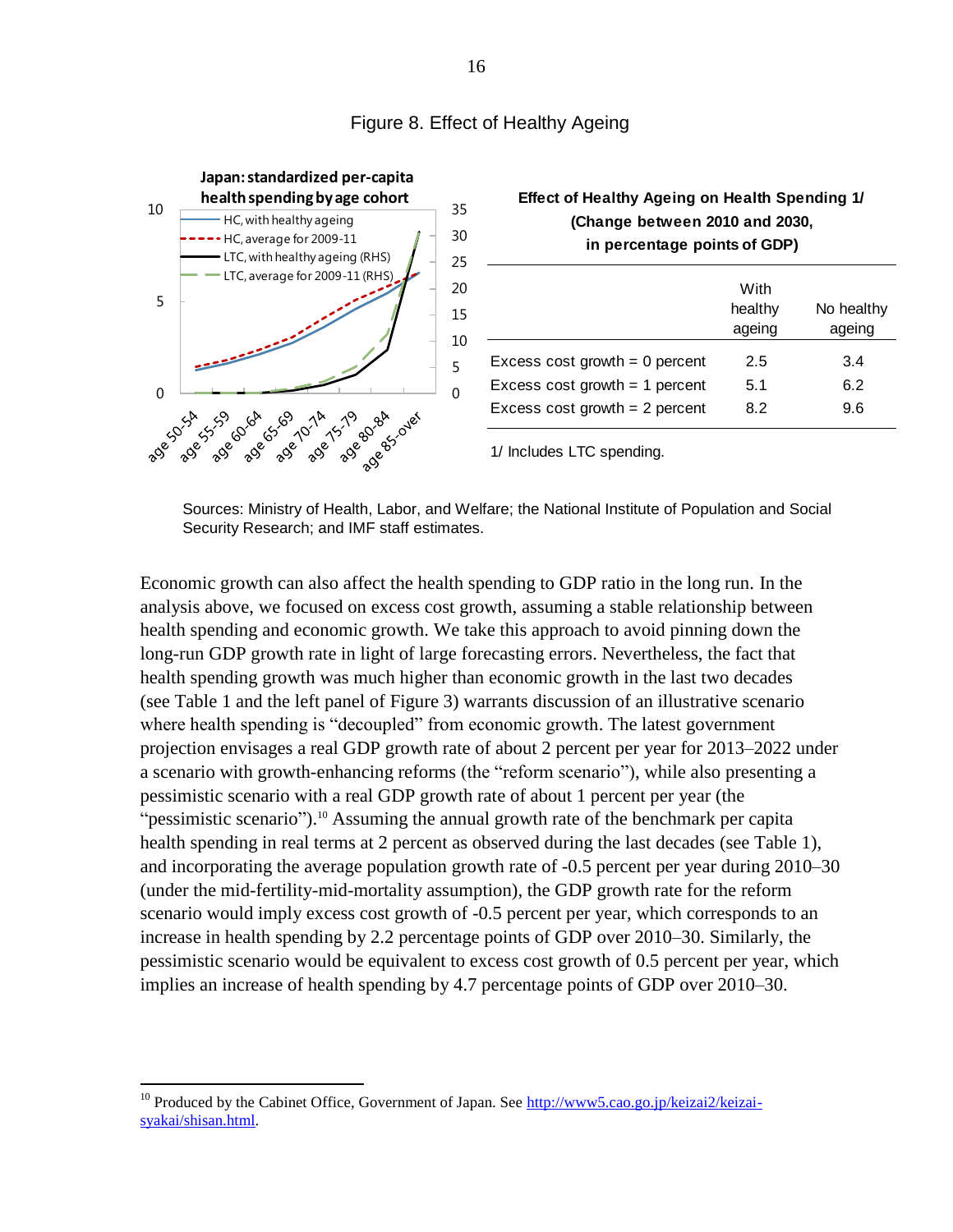

#### Figure 8. Effect of Healthy Ageing

Sources: Ministry of Health, Labor, and Welfare; the National Institute of Population and Social Security Research; and IMF staff estimates.

Economic growth can also affect the health spending to GDP ratio in the long run. In the analysis above, we focused on excess cost growth, assuming a stable relationship between health spending and economic growth. We take this approach to avoid pinning down the long-run GDP growth rate in light of large forecasting errors. Nevertheless, the fact that health spending growth was much higher than economic growth in the last two decades (see Table 1 and the left panel of Figure 3) warrants discussion of an illustrative scenario where health spending is "decoupled" from economic growth. The latest government projection envisages a real GDP growth rate of about 2 percent per year for 2013–2022 under a scenario with growth-enhancing reforms (the "reform scenario"), while also presenting a pessimistic scenario with a real GDP growth rate of about 1 percent per year (the "pessimistic scenario").<sup>10</sup> Assuming the annual growth rate of the benchmark per capita health spending in real terms at 2 percent as observed during the last decades (see Table 1), and incorporating the average population growth rate of -0.5 percent per year during 2010–30 (under the mid-fertility-mid-mortality assumption), the GDP growth rate for the reform scenario would imply excess cost growth of -0.5 percent per year, which corresponds to an increase in health spending by 2.2 percentage points of GDP over 2010–30. Similarly, the pessimistic scenario would be equivalent to excess cost growth of 0.5 percent per year, which implies an increase of health spending by 4.7 percentage points of GDP over 2010–30.

<sup>&</sup>lt;sup>10</sup> Produced by the Cabinet Office, Government of Japan. See [http://www5.cao.go.jp/keizai2/keizai](http://www5.cao.go.jp/keizai2/keizai-syakai/shisan.html)[syakai/shisan.html.](http://www5.cao.go.jp/keizai2/keizai-syakai/shisan.html)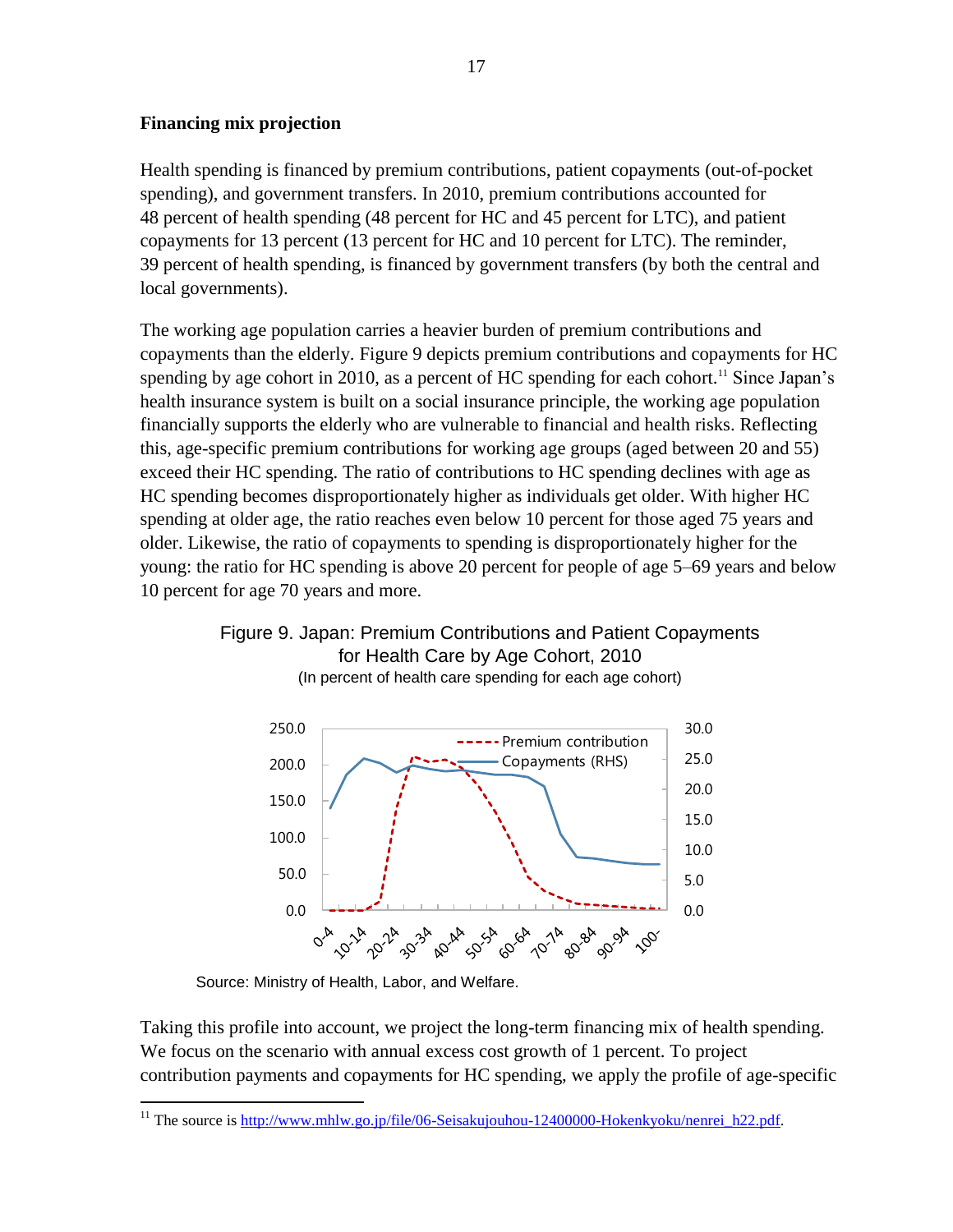## **Financing mix projection**

Health spending is financed by premium contributions, patient copayments (out-of-pocket spending), and government transfers. In 2010, premium contributions accounted for 48 percent of health spending (48 percent for HC and 45 percent for LTC), and patient copayments for 13 percent (13 percent for HC and 10 percent for LTC). The reminder, 39 percent of health spending, is financed by government transfers (by both the central and local governments).

The working age population carries a heavier burden of premium contributions and copayments than the elderly. Figure 9 depicts premium contributions and copayments for HC spending by age cohort in 2010, as a percent of HC spending for each cohort.<sup>11</sup> Since Japan's health insurance system is built on a social insurance principle, the working age population financially supports the elderly who are vulnerable to financial and health risks. Reflecting this, age-specific premium contributions for working age groups (aged between 20 and 55) exceed their HC spending. The ratio of contributions to HC spending declines with age as HC spending becomes disproportionately higher as individuals get older. With higher HC spending at older age, the ratio reaches even below 10 percent for those aged 75 years and older. Likewise, the ratio of copayments to spending is disproportionately higher for the young: the ratio for HC spending is above 20 percent for people of age 5–69 years and below 10 percent for age 70 years and more.

## Figure 9. Japan: Premium Contributions and Patient Copayments for Health Care by Age Cohort, 2010 (In percent of health care spending for each age cohort)



Source: Ministry of Health, Labor, and Welfare.

Taking this profile into account, we project the long-term financing mix of health spending. We focus on the scenario with annual excess cost growth of 1 percent. To project contribution payments and copayments for HC spending, we apply the profile of age-specific

 $\overline{a}$ <sup>11</sup> The source is [http://www.mhlw.go.jp/file/06-Seisakujouhou-12400000-Hokenkyoku/nenrei\\_h22.pdf.](http://www.mhlw.go.jp/file/06-Seisakujouhou-12400000-Hokenkyoku/nenrei_h22.pdf)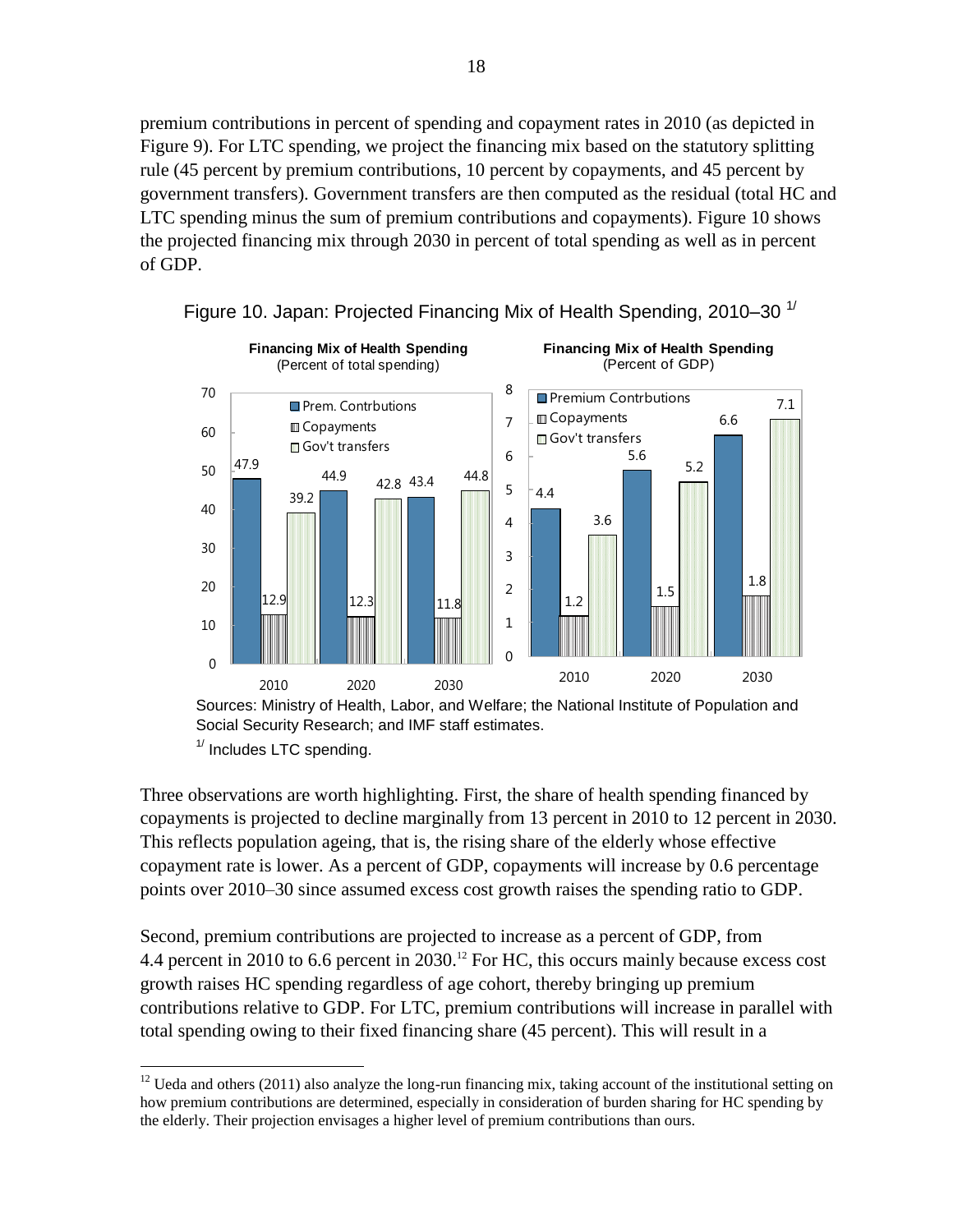premium contributions in percent of spending and copayment rates in 2010 (as depicted in Figure 9). For LTC spending, we project the financing mix based on the statutory splitting rule (45 percent by premium contributions, 10 percent by copayments, and 45 percent by government transfers). Government transfers are then computed as the residual (total HC and LTC spending minus the sum of premium contributions and copayments). Figure 10 shows the projected financing mix through 2030 in percent of total spending as well as in percent of GDP.





Sources: Ministry of Health, Labor, and Welfare; the National Institute of Population and Social Security Research; and IMF staff estimates.  $1/$  Includes LTC spending.

Three observations are worth highlighting. First, the share of health spending financed by copayments is projected to decline marginally from 13 percent in 2010 to 12 percent in 2030. This reflects population ageing, that is, the rising share of the elderly whose effective copayment rate is lower. As a percent of GDP, copayments will increase by 0.6 percentage points over 2010–30 since assumed excess cost growth raises the spending ratio to GDP.

Second, premium contributions are projected to increase as a percent of GDP, from 4.4 percent in 2010 to 6.6 percent in 2030.<sup>12</sup> For HC, this occurs mainly because excess cost growth raises HC spending regardless of age cohort, thereby bringing up premium contributions relative to GDP. For LTC, premium contributions will increase in parallel with total spending owing to their fixed financing share (45 percent). This will result in a

 $12$  Ueda and others (2011) also analyze the long-run financing mix, taking account of the institutional setting on how premium contributions are determined, especially in consideration of burden sharing for HC spending by the elderly. Their projection envisages a higher level of premium contributions than ours.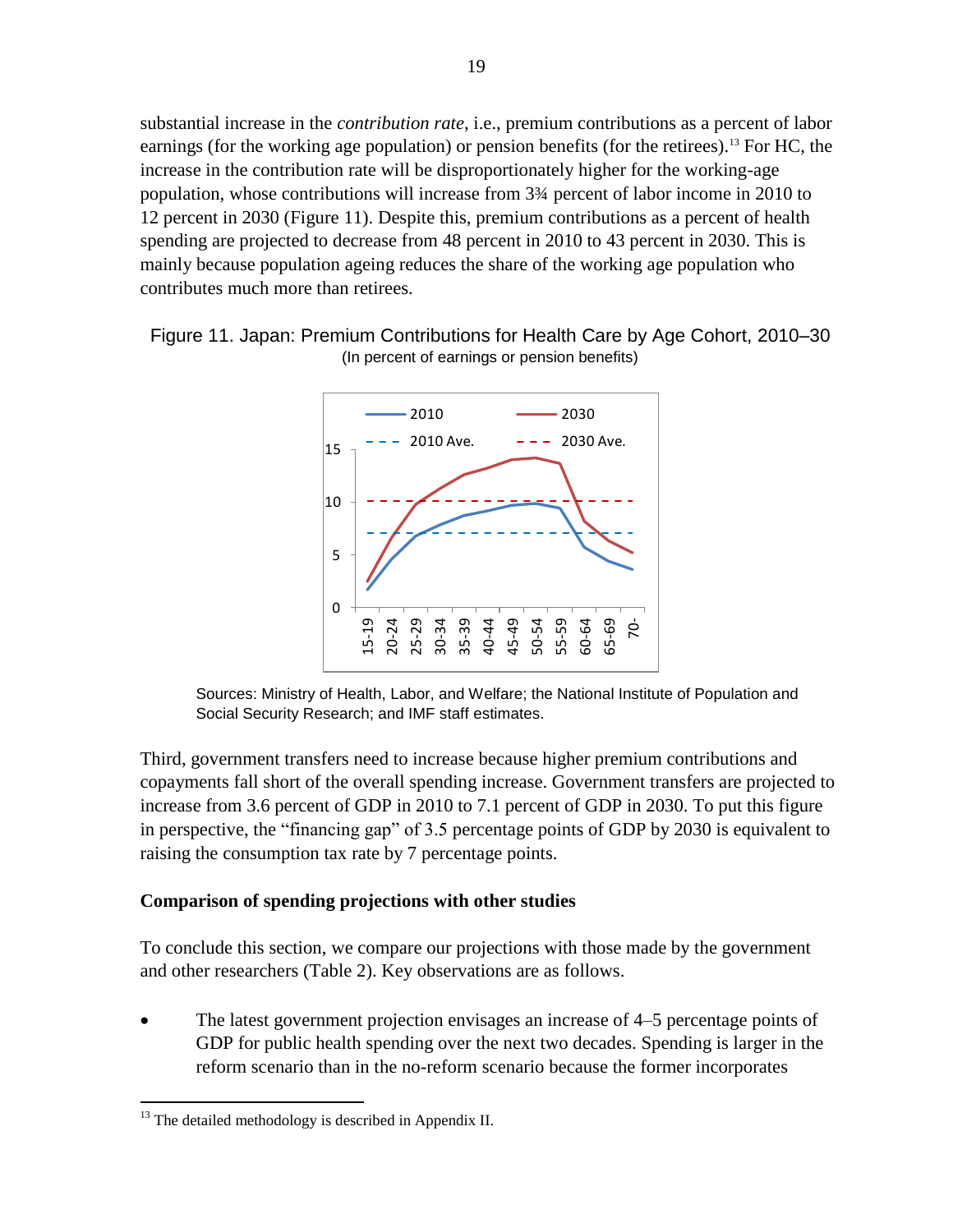substantial increase in the *contribution rate*, i.e., premium contributions as a percent of labor earnings (for the working age population) or pension benefits (for the retirees).<sup>13</sup> For HC, the increase in the contribution rate will be disproportionately higher for the working-age population, whose contributions will increase from 3¾ percent of labor income in 2010 to 12 percent in 2030 (Figure 11). Despite this, premium contributions as a percent of health spending are projected to decrease from 48 percent in 2010 to 43 percent in 2030. This is mainly because population ageing reduces the share of the working age population who contributes much more than retirees.







Third, government transfers need to increase because higher premium contributions and copayments fall short of the overall spending increase. Government transfers are projected to increase from 3.6 percent of GDP in 2010 to 7.1 percent of GDP in 2030. To put this figure in perspective, the "financing gap" of 3.5 percentage points of GDP by 2030 is equivalent to raising the consumption tax rate by 7 percentage points.

#### **Comparison of spending projections with other studies**

To conclude this section, we compare our projections with those made by the government and other researchers (Table 2). Key observations are as follows.

 The latest government projection envisages an increase of 4–5 percentage points of GDP for public health spending over the next two decades. Spending is larger in the reform scenario than in the no-reform scenario because the former incorporates

 $\overline{a}$  $13$  The detailed methodology is described in Appendix II.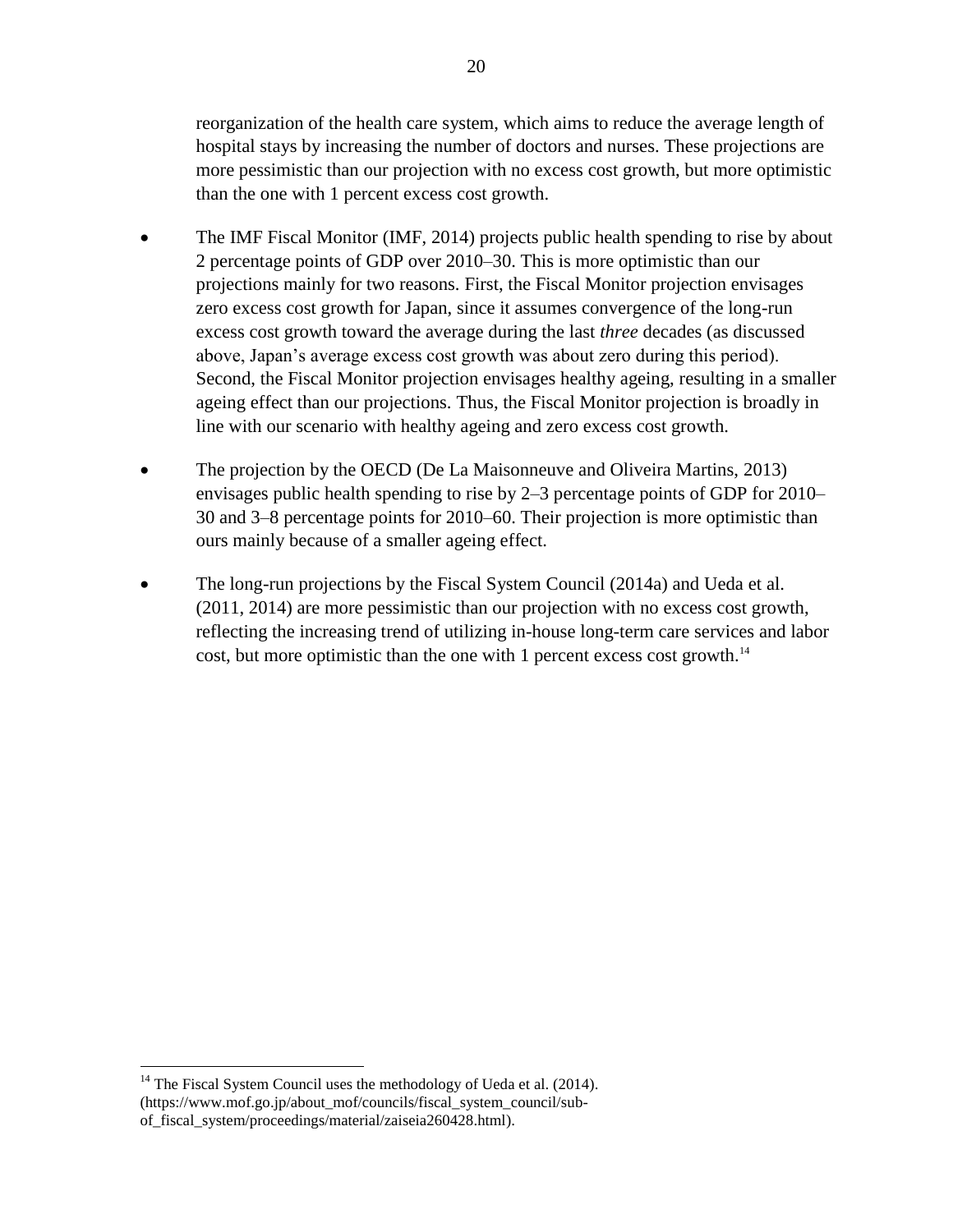reorganization of the health care system, which aims to reduce the average length of hospital stays by increasing the number of doctors and nurses. These projections are more pessimistic than our projection with no excess cost growth, but more optimistic than the one with 1 percent excess cost growth.

- The IMF Fiscal Monitor (IMF, 2014) projects public health spending to rise by about 2 percentage points of GDP over 2010–30. This is more optimistic than our projections mainly for two reasons. First, the Fiscal Monitor projection envisages zero excess cost growth for Japan, since it assumes convergence of the long-run excess cost growth toward the average during the last *three* decades (as discussed above, Japan's average excess cost growth was about zero during this period). Second, the Fiscal Monitor projection envisages healthy ageing, resulting in a smaller ageing effect than our projections. Thus, the Fiscal Monitor projection is broadly in line with our scenario with healthy ageing and zero excess cost growth.
- The projection by the OECD (De La Maisonneuve and Oliveira Martins, 2013) envisages public health spending to rise by 2–3 percentage points of GDP for 2010– 30 and 3–8 percentage points for 2010–60. Their projection is more optimistic than ours mainly because of a smaller ageing effect.
- The long-run projections by the Fiscal System Council (2014a) and Ueda et al. (2011, 2014) are more pessimistic than our projection with no excess cost growth, reflecting the increasing trend of utilizing in-house long-term care services and labor cost, but more optimistic than the one with 1 percent excess cost growth.<sup>14</sup>

 $14$  The Fiscal System Council uses the methodology of Ueda et al. (2014). (https://www.mof.go.jp/about\_mof/councils/fiscal\_system\_council/subof\_fiscal\_system/proceedings/material/zaiseia260428.html).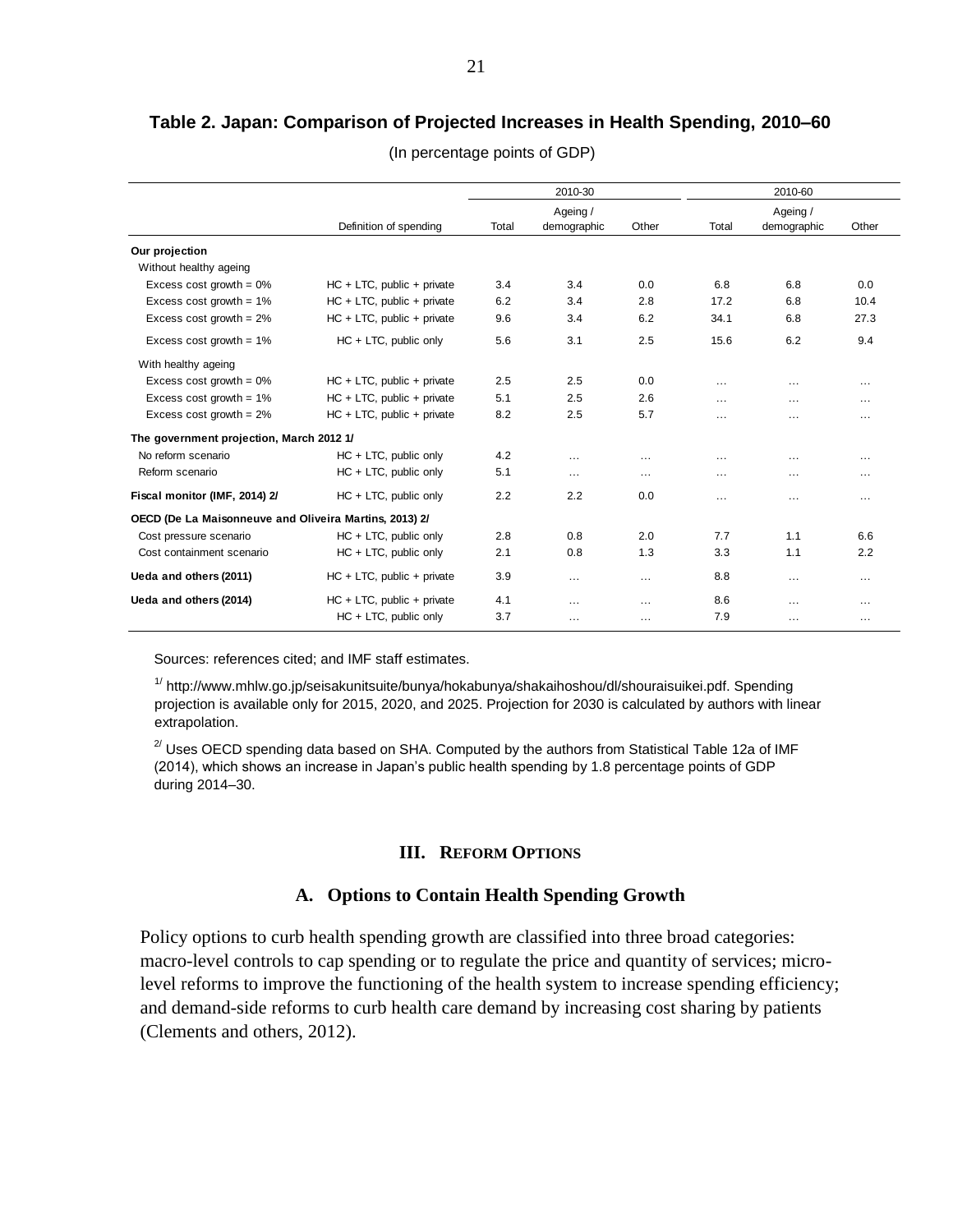## **Table 2. Japan: Comparison of Projected Increases in Health Spending, 2010–60**

|                                                        |                               |       | 2010-30     |          | 2010-60<br>Ageing / |             |          |
|--------------------------------------------------------|-------------------------------|-------|-------------|----------|---------------------|-------------|----------|
|                                                        |                               |       | Ageing /    |          |                     |             |          |
|                                                        | Definition of spending        | Total | demographic | Other    | Total               | demographic | Other    |
| Our projection                                         |                               |       |             |          |                     |             |          |
| Without healthy ageing                                 |                               |       |             |          |                     |             |          |
| Excess cost growth = $0\%$                             | $HC + LTC$ , public + private | 3.4   | 3.4         | 0.0      | 6.8                 | 6.8         | 0.0      |
| Excess cost growth = $1\%$                             | $HC + LTC$ , public + private | 6.2   | 3.4         | 2.8      | 17.2                | 6.8         | 10.4     |
| Excess cost growth = $2\%$                             | $HC + LTC$ , public + private | 9.6   | 3.4         | 6.2      | 34.1                | 6.8         | 27.3     |
| Excess cost growth = $1\%$                             | HC + LTC, public only         | 5.6   | 3.1         | 2.5      | 15.6                | 6.2         | 9.4      |
| With healthy ageing                                    |                               |       |             |          |                     |             |          |
| Excess cost growth = $0\%$                             | $HC + LTC$ , public + private | 2.5   | 2.5         | 0.0      | $\cdots$            | $\cdots$    | $\cdots$ |
| Excess cost growth = $1\%$                             | $HC + LTC$ , public + private | 5.1   | 2.5         | 2.6      | $\cdots$            | $\cdots$    | $\cdots$ |
| Excess cost growth = $2\%$                             | $HC + LTC$ , public + private | 8.2   | 2.5         | 5.7      | $\cdots$            | $\cdots$    | $\cdots$ |
| The government projection, March 2012 1/               |                               |       |             |          |                     |             |          |
| No reform scenario                                     | HC + LTC, public only         | 4.2   | $\cdots$    | $\cdots$ | $\cdots$            | $\cdots$    | $\cdots$ |
| Reform scenario                                        | HC + LTC, public only         | 5.1   | $\cdots$    | $\cdots$ | $\cdots$            | $\cdots$    | $\cdots$ |
| Fiscal monitor (IMF, 2014) 2/                          | HC + LTC, public only         | 2.2   | 2.2         | 0.0      | $\cdots$            | $\cdots$    | $\cdots$ |
| OECD (De La Maisonneuve and Oliveira Martins, 2013) 2/ |                               |       |             |          |                     |             |          |
| Cost pressure scenario                                 | HC + LTC, public only         | 2.8   | 0.8         | 2.0      | 7.7                 | 1.1         | 6.6      |
| Cost containment scenario                              | HC + LTC, public only         | 2.1   | 0.8         | 1.3      | 3.3                 | 1.1         | 2.2      |
| Ueda and others (2011)                                 | $HC + LTC$ , public + private | 3.9   | $\ldots$    | $\ldots$ | 8.8                 | $\cdots$    | $\cdots$ |
| Ueda and others (2014)                                 | $HC + LTC$ , public + private | 4.1   | $\cdots$    | $\cdots$ | 8.6                 | $\cdots$    | $\cdots$ |
|                                                        | HC + LTC, public only         | 3.7   | $\cdots$    | $\cdots$ | 7.9                 | $\cdots$    | $\cdots$ |

(In percentage points of GDP)

Sources: references cited; and IMF staff estimates.

<sup>1/</sup> http://www.mhlw.go.jp/seisakunitsuite/bunya/hokabunya/shakaihoshou/dl/shouraisuikei.pdf. Spending projection is available only for 2015, 2020, and 2025. Projection for 2030 is calculated by authors with linear extrapolation.

 $^{2}$  Uses OECD spending data based on SHA. Computed by the authors from Statistical Table 12a of IMF (2014), which shows an increase in Japan's public health spending by 1.8 percentage points of GDP during 2014–30.

#### **III. REFORM OPTIONS**

#### **A. Options to Contain Health Spending Growth**

Policy options to curb health spending growth are classified into three broad categories: macro-level controls to cap spending or to regulate the price and quantity of services; microlevel reforms to improve the functioning of the health system to increase spending efficiency; and demand-side reforms to curb health care demand by increasing cost sharing by patients (Clements and others, 2012).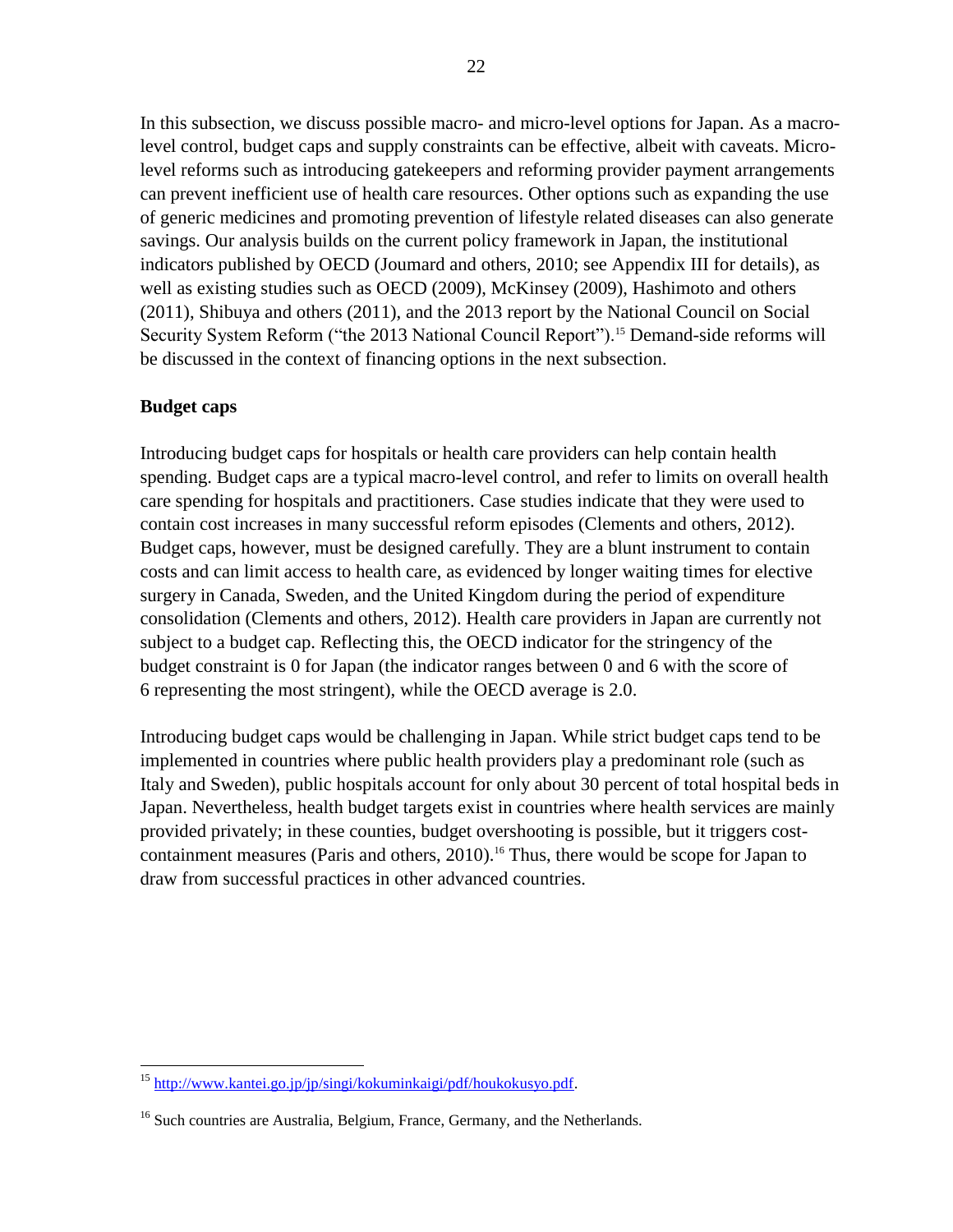In this subsection, we discuss possible macro- and micro-level options for Japan. As a macrolevel control, budget caps and supply constraints can be effective, albeit with caveats. Microlevel reforms such as introducing gatekeepers and reforming provider payment arrangements can prevent inefficient use of health care resources. Other options such as expanding the use of generic medicines and promoting prevention of lifestyle related diseases can also generate savings. Our analysis builds on the current policy framework in Japan, the institutional indicators published by OECD (Joumard and others, 2010; see Appendix III for details), as well as existing studies such as OECD (2009), McKinsey (2009), Hashimoto and others (2011), Shibuya and others (2011), and the 2013 report by the National Council on Social Security System Reform ("the 2013 National Council Report").<sup>15</sup> Demand-side reforms will be discussed in the context of financing options in the next subsection.

## **Budget caps**

Introducing budget caps for hospitals or health care providers can help contain health spending. Budget caps are a typical macro-level control, and refer to limits on overall health care spending for hospitals and practitioners. Case studies indicate that they were used to contain cost increases in many successful reform episodes (Clements and others, 2012). Budget caps, however, must be designed carefully. They are a blunt instrument to contain costs and can limit access to health care, as evidenced by longer waiting times for elective surgery in Canada, Sweden, and the United Kingdom during the period of expenditure consolidation (Clements and others, 2012). Health care providers in Japan are currently not subject to a budget cap. Reflecting this, the OECD indicator for the stringency of the budget constraint is 0 for Japan (the indicator ranges between 0 and 6 with the score of 6 representing the most stringent), while the OECD average is 2.0.

Introducing budget caps would be challenging in Japan. While strict budget caps tend to be implemented in countries where public health providers play a predominant role (such as Italy and Sweden), public hospitals account for only about 30 percent of total hospital beds in Japan. Nevertheless, health budget targets exist in countries where health services are mainly provided privately; in these counties, budget overshooting is possible, but it triggers costcontainment measures (Paris and others,  $2010$ ).<sup>16</sup> Thus, there would be scope for Japan to draw from successful practices in other advanced countries.

 $\overline{a}$ <sup>15</sup> [http://www.kantei.go.jp/jp/singi/kokuminkaigi/pdf/houkokusyo.pdf.](http://www.kantei.go.jp/jp/singi/kokuminkaigi/pdf/houkokusyo.pdf)

<sup>&</sup>lt;sup>16</sup> Such countries are Australia, Belgium, France, Germany, and the Netherlands.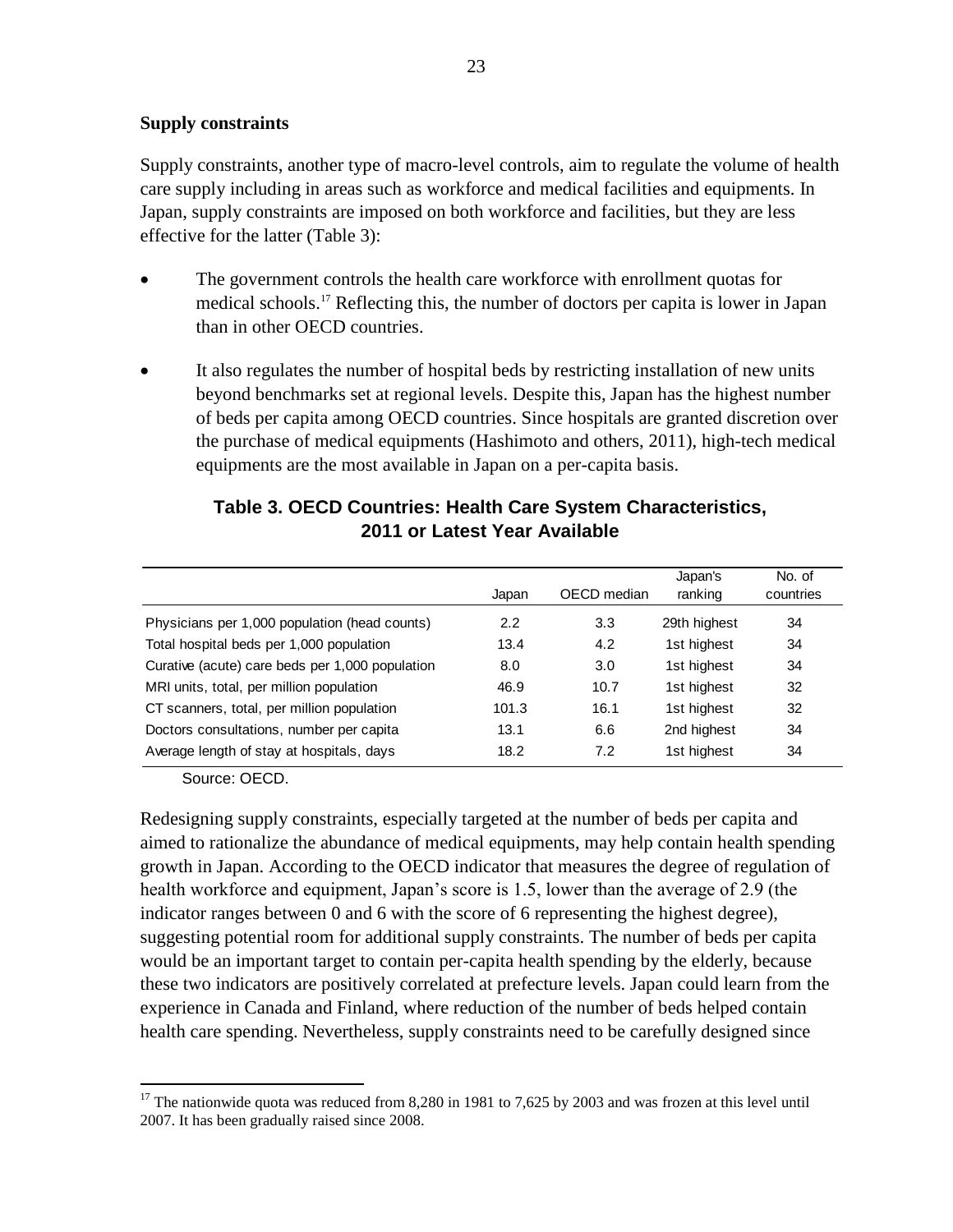#### **Supply constraints**

Supply constraints, another type of macro-level controls, aim to regulate the volume of health care supply including in areas such as workforce and medical facilities and equipments. In Japan, supply constraints are imposed on both workforce and facilities, but they are less effective for the latter (Table 3):

- The government controls the health care workforce with enrollment quotas for medical schools.<sup>17</sup> Reflecting this, the number of doctors per capita is lower in Japan than in other OECD countries.
- It also regulates the number of hospital beds by restricting installation of new units beyond benchmarks set at regional levels. Despite this, Japan has the highest number of beds per capita among OECD countries. Since hospitals are granted discretion over the purchase of medical equipments (Hashimoto and others, 2011), high-tech medical equipments are the most available in Japan on a per-capita basis.

|                                                 | Japan | OECD median | Japan's<br>ranking | No. of<br>countries |
|-------------------------------------------------|-------|-------------|--------------------|---------------------|
| Physicians per 1,000 population (head counts)   | 2.2   | 3.3         | 29th highest       | 34                  |
| Total hospital beds per 1,000 population        | 13.4  | 4.2         | 1st highest        | 34                  |
| Curative (acute) care beds per 1,000 population | 8.0   | 3.0         | 1st highest        | 34                  |
| MRI units, total, per million population        | 46.9  | 10.7        | 1st highest        | 32                  |
| CT scanners, total, per million population      | 101.3 | 16.1        | 1st highest        | 32                  |
| Doctors consultations, number per capita        | 13.1  | 6.6         | 2nd highest        | 34                  |
| Average length of stay at hospitals, days       | 18.2  | 7.2         | 1st highest        | 34                  |

## **Table 3. OECD Countries: Health Care System Characteristics, 2011 or Latest Year Available**

Source: OECD.

 $\overline{a}$ 

Redesigning supply constraints, especially targeted at the number of beds per capita and aimed to rationalize the abundance of medical equipments, may help contain health spending growth in Japan. According to the OECD indicator that measures the degree of regulation of health workforce and equipment, Japan's score is 1.5, lower than the average of 2.9 (the indicator ranges between 0 and 6 with the score of 6 representing the highest degree), suggesting potential room for additional supply constraints. The number of beds per capita would be an important target to contain per-capita health spending by the elderly, because these two indicators are positively correlated at prefecture levels. Japan could learn from the experience in Canada and Finland, where reduction of the number of beds helped contain health care spending. Nevertheless, supply constraints need to be carefully designed since

<sup>&</sup>lt;sup>17</sup> The nationwide quota was reduced from 8,280 in 1981 to 7,625 by 2003 and was frozen at this level until 2007. It has been gradually raised since 2008.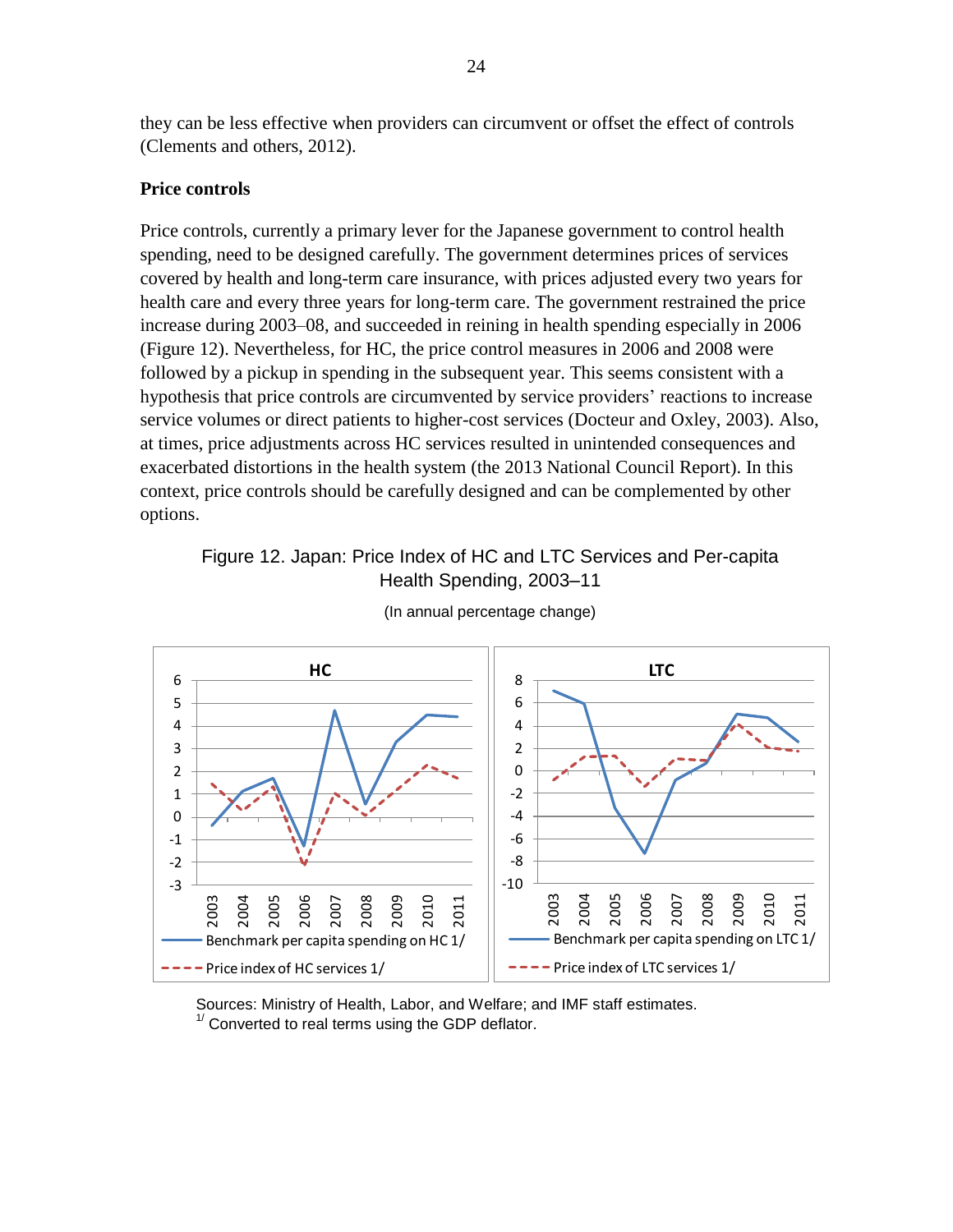they can be less effective when providers can circumvent or offset the effect of controls (Clements and others, 2012).

#### **Price controls**

Price controls, currently a primary lever for the Japanese government to control health spending, need to be designed carefully. The government determines prices of services covered by health and long-term care insurance, with prices adjusted every two years for health care and every three years for long-term care. The government restrained the price increase during 2003–08, and succeeded in reining in health spending especially in 2006 (Figure 12). Nevertheless, for HC, the price control measures in 2006 and 2008 were followed by a pickup in spending in the subsequent year. This seems consistent with a hypothesis that price controls are circumvented by service providers' reactions to increase service volumes or direct patients to higher-cost services (Docteur and Oxley, 2003). Also, at times, price adjustments across HC services resulted in unintended consequences and exacerbated distortions in the health system (the 2013 National Council Report). In this context, price controls should be carefully designed and can be complemented by other options.

## Figure 12. Japan: Price Index of HC and LTC Services and Per-capita Health Spending, 2003–11



(In annual percentage change)

Sources: Ministry of Health, Labor, and Welfare; and IMF staff estimates.  $1/$  Converted to real terms using the GDP deflator.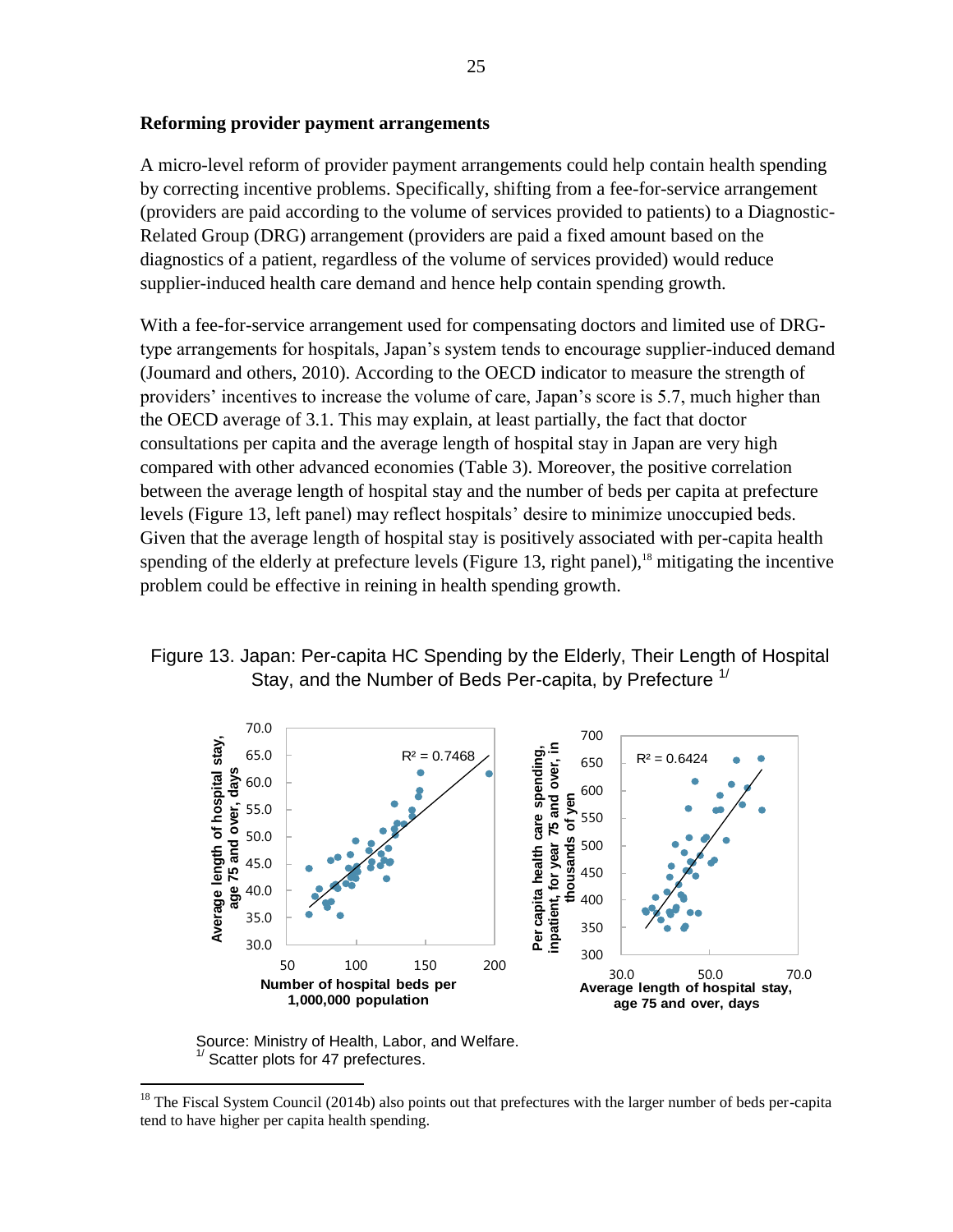#### **Reforming provider payment arrangements**

A micro-level reform of provider payment arrangements could help contain health spending by correcting incentive problems. Specifically, shifting from a fee-for-service arrangement (providers are paid according to the volume of services provided to patients) to a Diagnostic-Related Group (DRG) arrangement (providers are paid a fixed amount based on the diagnostics of a patient, regardless of the volume of services provided) would reduce supplier-induced health care demand and hence help contain spending growth.

With a fee-for-service arrangement used for compensating doctors and limited use of DRGtype arrangements for hospitals, Japan's system tends to encourage supplier-induced demand (Joumard and others, 2010). According to the OECD indicator to measure the strength of providers' incentives to increase the volume of care, Japan's score is 5.7, much higher than the OECD average of 3.1. This may explain, at least partially, the fact that doctor consultations per capita and the average length of hospital stay in Japan are very high compared with other advanced economies (Table 3). Moreover, the positive correlation between the average length of hospital stay and the number of beds per capita at prefecture levels (Figure 13, left panel) may reflect hospitals' desire to minimize unoccupied beds. Given that the average length of hospital stay is positively associated with per-capita health spending of the elderly at prefecture levels (Figure 13, right panel),<sup>18</sup> mitigating the incentive problem could be effective in reining in health spending growth.

## Figure 13. Japan: Per-capita HC Spending by the Elderly, Their Length of Hospital Stay, and the Number of Beds Per-capita, by Prefecture <sup>1/</sup>



Source: Ministry of Health, Labor, and Welfare. Scatter plots for 47 prefectures.

<sup>&</sup>lt;sup>18</sup> The Fiscal System Council (2014b) also points out that prefectures with the larger number of beds per-capita tend to have higher per capita health spending.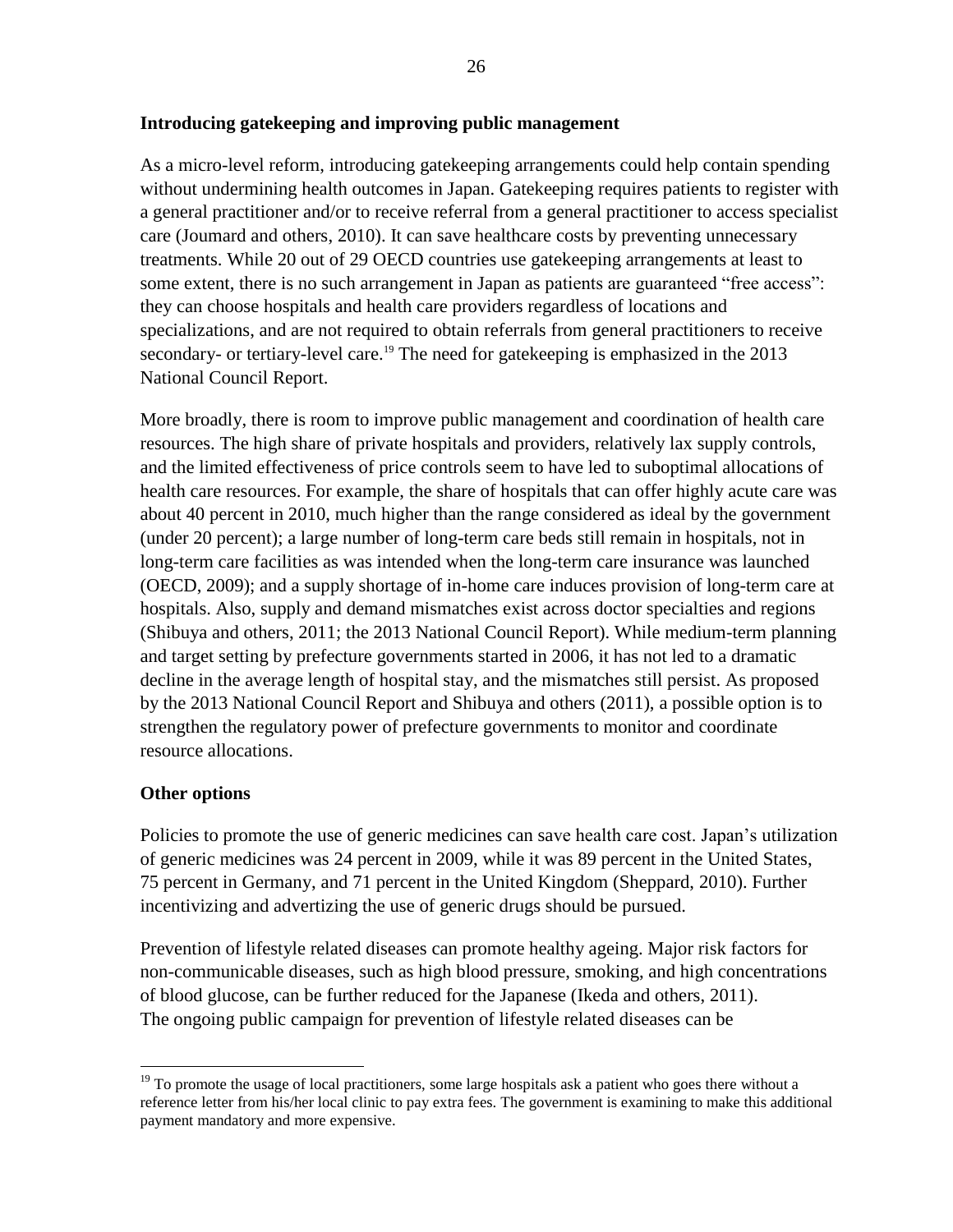#### **Introducing gatekeeping and improving public management**

As a micro-level reform, introducing gatekeeping arrangements could help contain spending without undermining health outcomes in Japan. Gatekeeping requires patients to register with a general practitioner and/or to receive referral from a general practitioner to access specialist care (Joumard and others, 2010). It can save healthcare costs by preventing unnecessary treatments. While 20 out of 29 OECD countries use gatekeeping arrangements at least to some extent, there is no such arrangement in Japan as patients are guaranteed "free access": they can choose hospitals and health care providers regardless of locations and specializations, and are not required to obtain referrals from general practitioners to receive secondary- or tertiary-level care.<sup>19</sup> The need for gatekeeping is emphasized in the 2013 National Council Report.

More broadly, there is room to improve public management and coordination of health care resources. The high share of private hospitals and providers, relatively lax supply controls, and the limited effectiveness of price controls seem to have led to suboptimal allocations of health care resources. For example, the share of hospitals that can offer highly acute care was about 40 percent in 2010, much higher than the range considered as ideal by the government (under 20 percent); a large number of long-term care beds still remain in hospitals, not in long-term care facilities as was intended when the long-term care insurance was launched (OECD, 2009); and a supply shortage of in-home care induces provision of long-term care at hospitals. Also, supply and demand mismatches exist across doctor specialties and regions (Shibuya and others, 2011; the 2013 National Council Report). While medium-term planning and target setting by prefecture governments started in 2006, it has not led to a dramatic decline in the average length of hospital stay, and the mismatches still persist. As proposed by the 2013 National Council Report and Shibuya and others (2011), a possible option is to strengthen the regulatory power of prefecture governments to monitor and coordinate resource allocations.

#### **Other options**

 $\overline{a}$ 

Policies to promote the use of generic medicines can save health care cost. Japan's utilization of generic medicines was 24 percent in 2009, while it was 89 percent in the United States, 75 percent in Germany, and 71 percent in the United Kingdom (Sheppard, 2010). Further incentivizing and advertizing the use of generic drugs should be pursued.

Prevention of lifestyle related diseases can promote healthy ageing. Major risk factors for non-communicable diseases, such as high blood pressure, smoking, and high concentrations of blood glucose, can be further reduced for the Japanese (Ikeda and others, 2011). The ongoing public campaign for prevention of lifestyle related diseases can be

<sup>&</sup>lt;sup>19</sup> To promote the usage of local practitioners, some large hospitals ask a patient who goes there without a reference letter from his/her local clinic to pay extra fees. The government is examining to make this additional payment mandatory and more expensive.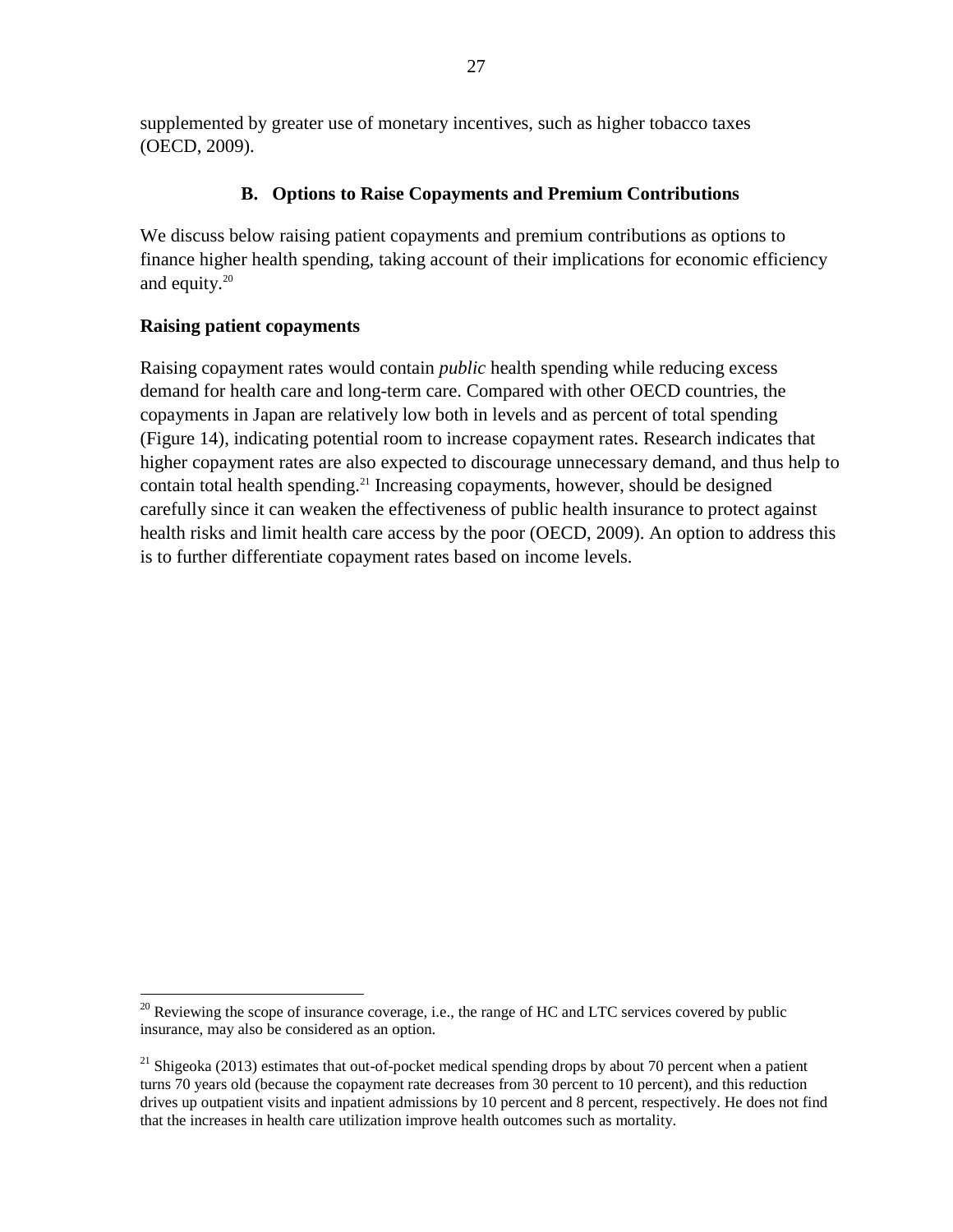supplemented by greater use of monetary incentives, such as higher tobacco taxes (OECD, 2009).

## **B. Options to Raise Copayments and Premium Contributions**

We discuss below raising patient copayments and premium contributions as options to finance higher health spending, taking account of their implications for economic efficiency and equity. $20$ 

## **Raising patient copayments**

 $\overline{a}$ 

Raising copayment rates would contain *public* health spending while reducing excess demand for health care and long-term care. Compared with other OECD countries, the copayments in Japan are relatively low both in levels and as percent of total spending (Figure 14), indicating potential room to increase copayment rates. Research indicates that higher copayment rates are also expected to discourage unnecessary demand, and thus help to contain total health spending.<sup>21</sup> Increasing copayments, however, should be designed carefully since it can weaken the effectiveness of public health insurance to protect against health risks and limit health care access by the poor (OECD, 2009). An option to address this is to further differentiate copayment rates based on income levels.

 $20$  Reviewing the scope of insurance coverage, i.e., the range of HC and LTC services covered by public insurance, may also be considered as an option.

<sup>&</sup>lt;sup>21</sup> Shigeoka (2013) estimates that out-of-pocket medical spending drops by about 70 percent when a patient turns 70 years old (because the copayment rate decreases from 30 percent to 10 percent), and this reduction drives up outpatient visits and inpatient admissions by 10 percent and 8 percent, respectively. He does not find that the increases in health care utilization improve health outcomes such as mortality.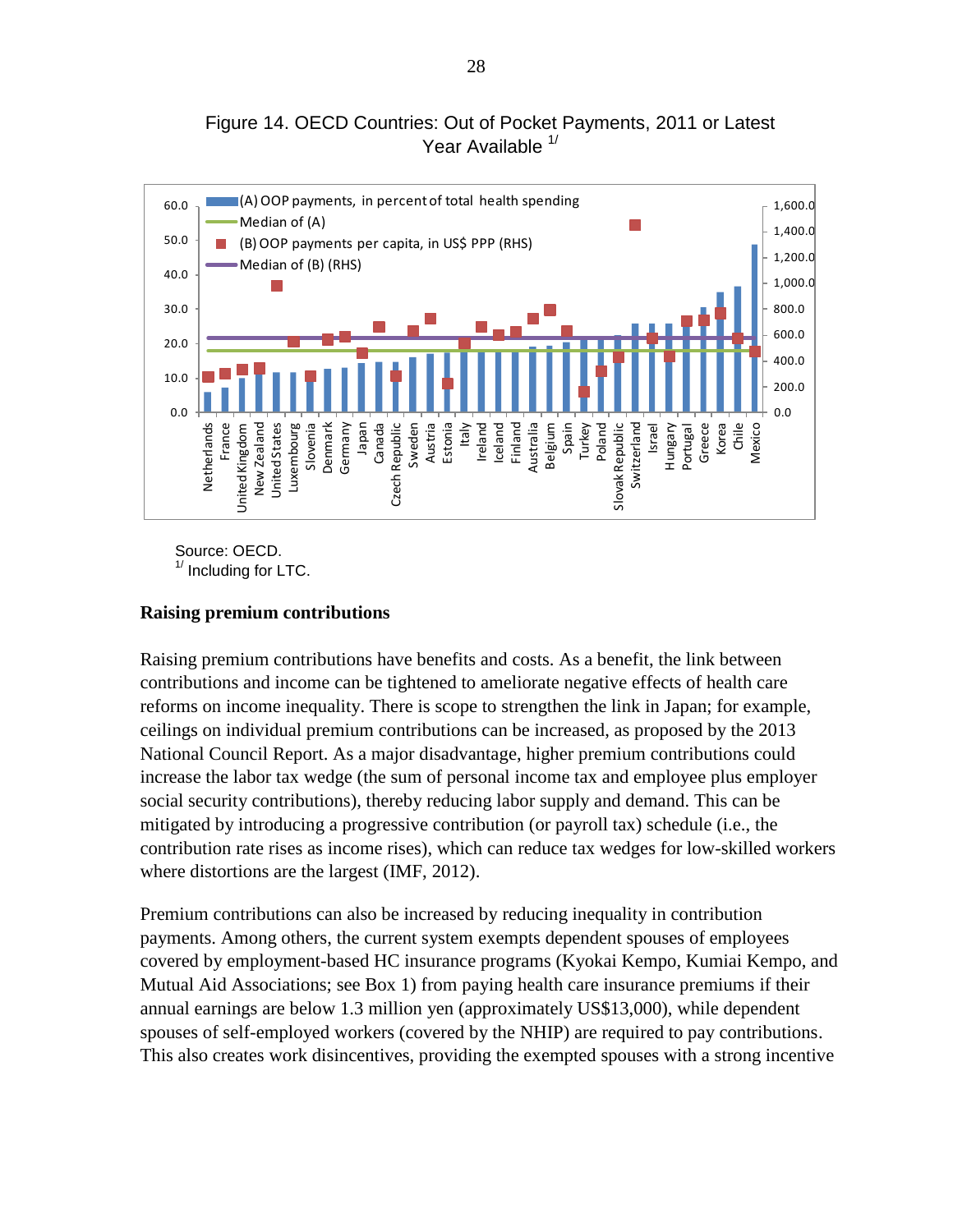Figure 14. OECD Countries: Out of Pocket Payments, 2011 or Latest Year Available <sup>1/</sup>



Source: OECD.  $<sup>1/</sup>$  Including for LTC.</sup>

#### **Raising premium contributions**

Raising premium contributions have benefits and costs. As a benefit, the link between contributions and income can be tightened to ameliorate negative effects of health care reforms on income inequality. There is scope to strengthen the link in Japan; for example, ceilings on individual premium contributions can be increased, as proposed by the 2013 National Council Report. As a major disadvantage, higher premium contributions could increase the labor tax wedge (the sum of personal income tax and employee plus employer social security contributions), thereby reducing labor supply and demand. This can be mitigated by introducing a progressive contribution (or payroll tax) schedule (i.e., the contribution rate rises as income rises), which can reduce tax wedges for low-skilled workers where distortions are the largest (IMF, 2012).

Premium contributions can also be increased by reducing inequality in contribution payments. Among others, the current system exempts dependent spouses of employees covered by employment-based HC insurance programs (Kyokai Kempo, Kumiai Kempo, and Mutual Aid Associations; see Box 1) from paying health care insurance premiums if their annual earnings are below 1.3 million yen (approximately US\$13,000), while dependent spouses of self-employed workers (covered by the NHIP) are required to pay contributions. This also creates work disincentives, providing the exempted spouses with a strong incentive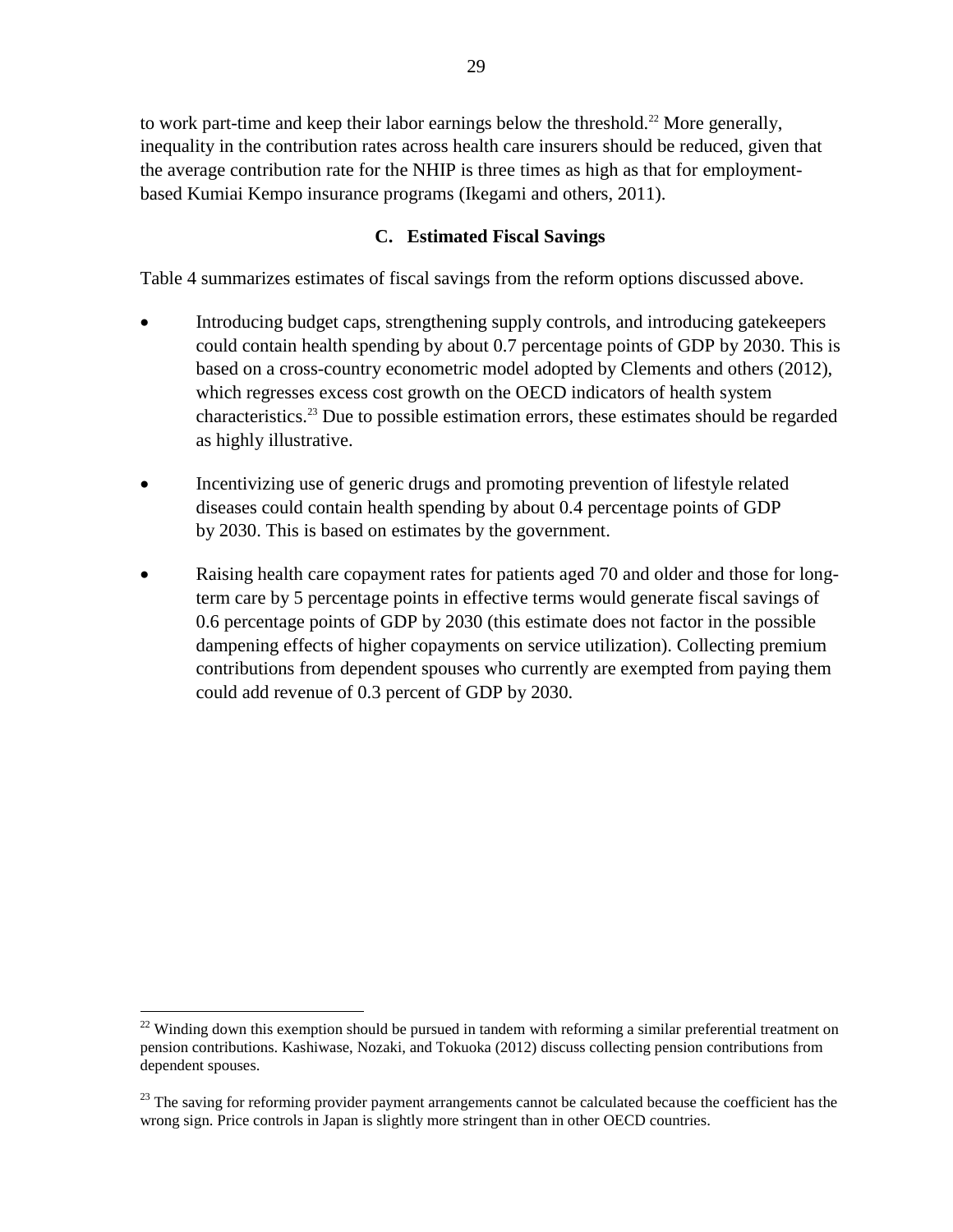to work part-time and keep their labor earnings below the threshold.<sup>22</sup> More generally, inequality in the contribution rates across health care insurers should be reduced, given that the average contribution rate for the NHIP is three times as high as that for employmentbased Kumiai Kempo insurance programs (Ikegami and others, 2011).

## **C. Estimated Fiscal Savings**

Table 4 summarizes estimates of fiscal savings from the reform options discussed above.

- Introducing budget caps, strengthening supply controls, and introducing gatekeepers could contain health spending by about 0.7 percentage points of GDP by 2030. This is based on a cross-country econometric model adopted by Clements and others (2012), which regresses excess cost growth on the OECD indicators of health system characteristics.<sup>23</sup> Due to possible estimation errors, these estimates should be regarded as highly illustrative.
- Incentivizing use of generic drugs and promoting prevention of lifestyle related diseases could contain health spending by about 0.4 percentage points of GDP by 2030. This is based on estimates by the government.
- Raising health care copayment rates for patients aged 70 and older and those for longterm care by 5 percentage points in effective terms would generate fiscal savings of 0.6 percentage points of GDP by 2030 (this estimate does not factor in the possible dampening effects of higher copayments on service utilization). Collecting premium contributions from dependent spouses who currently are exempted from paying them could add revenue of 0.3 percent of GDP by 2030.

 $22$  Winding down this exemption should be pursued in tandem with reforming a similar preferential treatment on pension contributions. Kashiwase, Nozaki, and Tokuoka (2012) discuss collecting pension contributions from dependent spouses.

<sup>&</sup>lt;sup>23</sup> The saving for reforming provider payment arrangements cannot be calculated because the coefficient has the wrong sign. Price controls in Japan is slightly more stringent than in other OECD countries.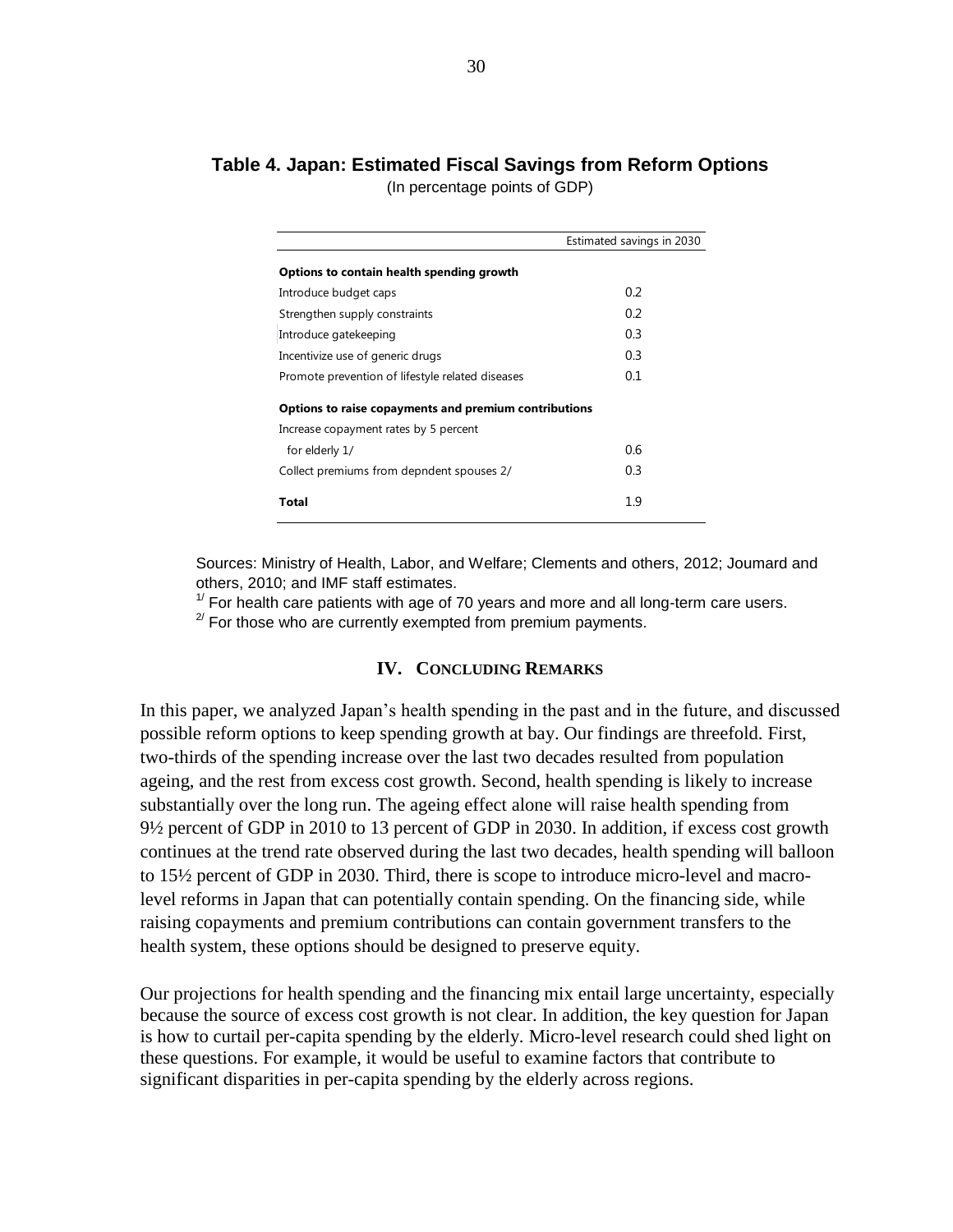# **Table 4. Japan: Estimated Fiscal Savings from Reform Options**

(In percentage points of GDP)

|                                                       | Estimated savings in 2030 |
|-------------------------------------------------------|---------------------------|
| Options to contain health spending growth             |                           |
| Introduce budget caps                                 | 0.2                       |
| Strengthen supply constraints                         | 0.2                       |
| Introduce gatekeeping                                 | 0.3                       |
| Incentivize use of generic drugs                      | 0.3                       |
| Promote prevention of lifestyle related diseases      | 0.1                       |
| Options to raise copayments and premium contributions |                           |
| Increase copayment rates by 5 percent                 |                           |
| for elderly 1/                                        | 0.6                       |
| Collect premiums from depndent spouses 2/             | 0.3                       |
| Total                                                 | 1.9                       |
|                                                       |                           |

Sources: Ministry of Health, Labor, and Welfare; Clements and others, 2012; Joumard and others, 2010; and IMF staff estimates.

 $1/$  For health care patients with age of 70 years and more and all long-term care users.

 $2^{2}$  For those who are currently exempted from premium payments.

#### **IV. CONCLUDING REMARKS**

In this paper, we analyzed Japan's health spending in the past and in the future, and discussed possible reform options to keep spending growth at bay. Our findings are threefold. First, two-thirds of the spending increase over the last two decades resulted from population ageing, and the rest from excess cost growth. Second, health spending is likely to increase substantially over the long run. The ageing effect alone will raise health spending from 9½ percent of GDP in 2010 to 13 percent of GDP in 2030. In addition, if excess cost growth continues at the trend rate observed during the last two decades, health spending will balloon to 15½ percent of GDP in 2030. Third, there is scope to introduce micro-level and macrolevel reforms in Japan that can potentially contain spending. On the financing side, while raising copayments and premium contributions can contain government transfers to the health system, these options should be designed to preserve equity.

Our projections for health spending and the financing mix entail large uncertainty, especially because the source of excess cost growth is not clear. In addition, the key question for Japan is how to curtail per-capita spending by the elderly. Micro-level research could shed light on these questions. For example, it would be useful to examine factors that contribute to significant disparities in per-capita spending by the elderly across regions.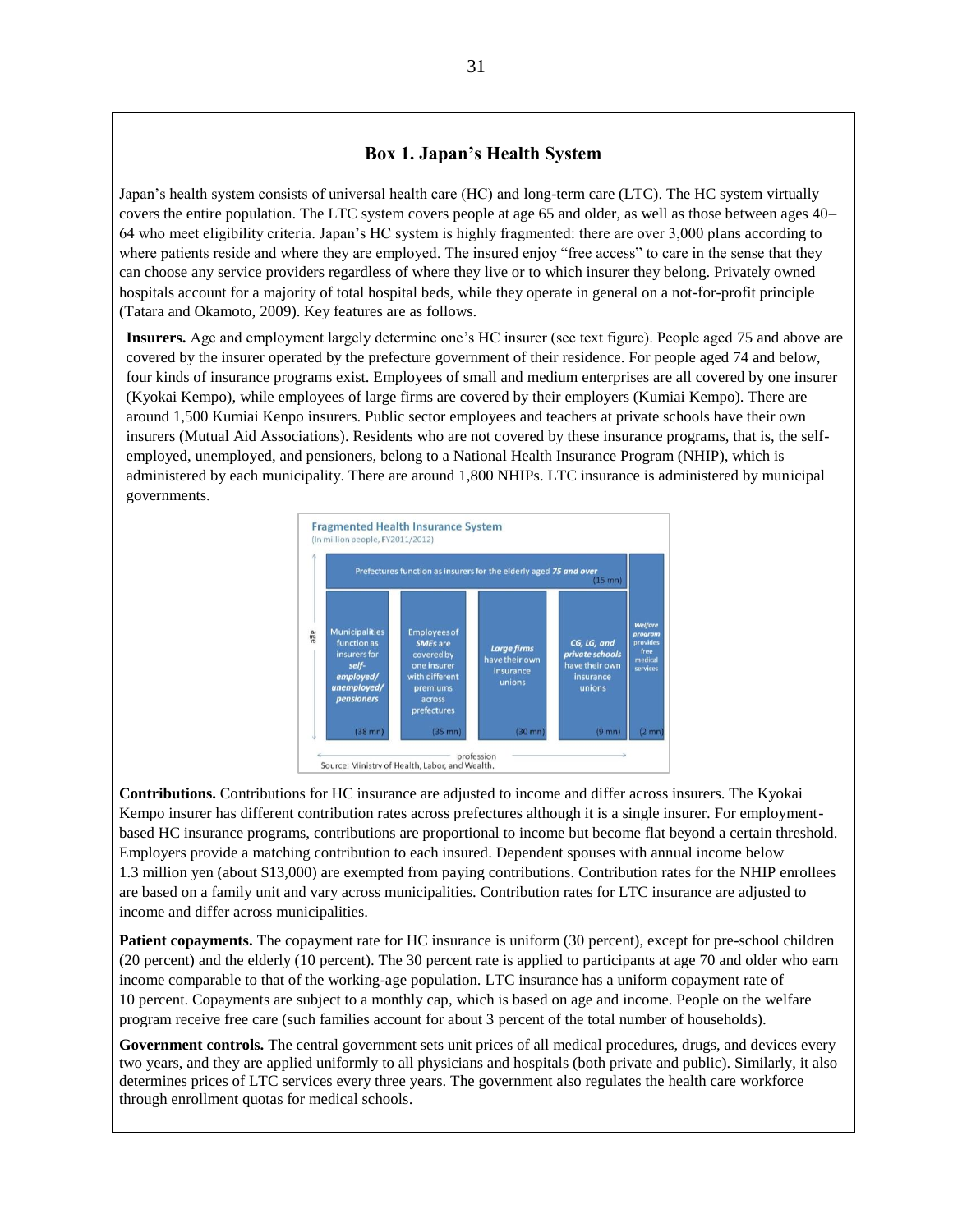#### **Box 1. Japan's Health System**

Japan's health system consists of universal health care (HC) and long-term care (LTC). The HC system virtually covers the entire population. The LTC system covers people at age 65 and older, as well as those between ages 40– 64 who meet eligibility criteria. Japan's HC system is highly fragmented: there are over 3,000 plans according to where patients reside and where they are employed. The insured enjoy "free access" to care in the sense that they can choose any service providers regardless of where they live or to which insurer they belong. Privately owned hospitals account for a majority of total hospital beds, while they operate in general on a not-for-profit principle (Tatara and Okamoto, 2009). Key features are as follows.

**Insurers.** Age and employment largely determine one's HC insurer (see text figure). People aged 75 and above are covered by the insurer operated by the prefecture government of their residence. For people aged 74 and below, four kinds of insurance programs exist. Employees of small and medium enterprises are all covered by one insurer (Kyokai Kempo), while employees of large firms are covered by their employers (Kumiai Kempo). There are around 1,500 Kumiai Kenpo insurers. Public sector employees and teachers at private schools have their own insurers (Mutual Aid Associations). Residents who are not covered by these insurance programs, that is, the selfemployed, unemployed, and pensioners, belong to a National Health Insurance Program (NHIP), which is administered by each municipality. There are around 1,800 NHIPs. LTC insurance is administered by municipal governments.



**Contributions.** Contributions for HC insurance are adjusted to income and differ across insurers. The Kyokai Kempo insurer has different contribution rates across prefectures although it is a single insurer. For employmentbased HC insurance programs, contributions are proportional to income but become flat beyond a certain threshold. Employers provide a matching contribution to each insured. Dependent spouses with annual income below 1.3 million yen (about \$13,000) are exempted from paying contributions. Contribution rates for the NHIP enrollees are based on a family unit and vary across municipalities. Contribution rates for LTC insurance are adjusted to income and differ across municipalities.

**Patient copayments.** The copayment rate for HC insurance is uniform (30 percent), except for pre-school children (20 percent) and the elderly (10 percent). The 30 percent rate is applied to participants at age 70 and older who earn income comparable to that of the working-age population. LTC insurance has a uniform copayment rate of 10 percent. Copayments are subject to a monthly cap, which is based on age and income. People on the welfare program receive free care (such families account for about 3 percent of the total number of households).

**Government controls.** The central government sets unit prices of all medical procedures, drugs, and devices every two years, and they are applied uniformly to all physicians and hospitals (both private and public). Similarly, it also determines prices of LTC services every three years. The government also regulates the health care workforce through enrollment quotas for medical schools.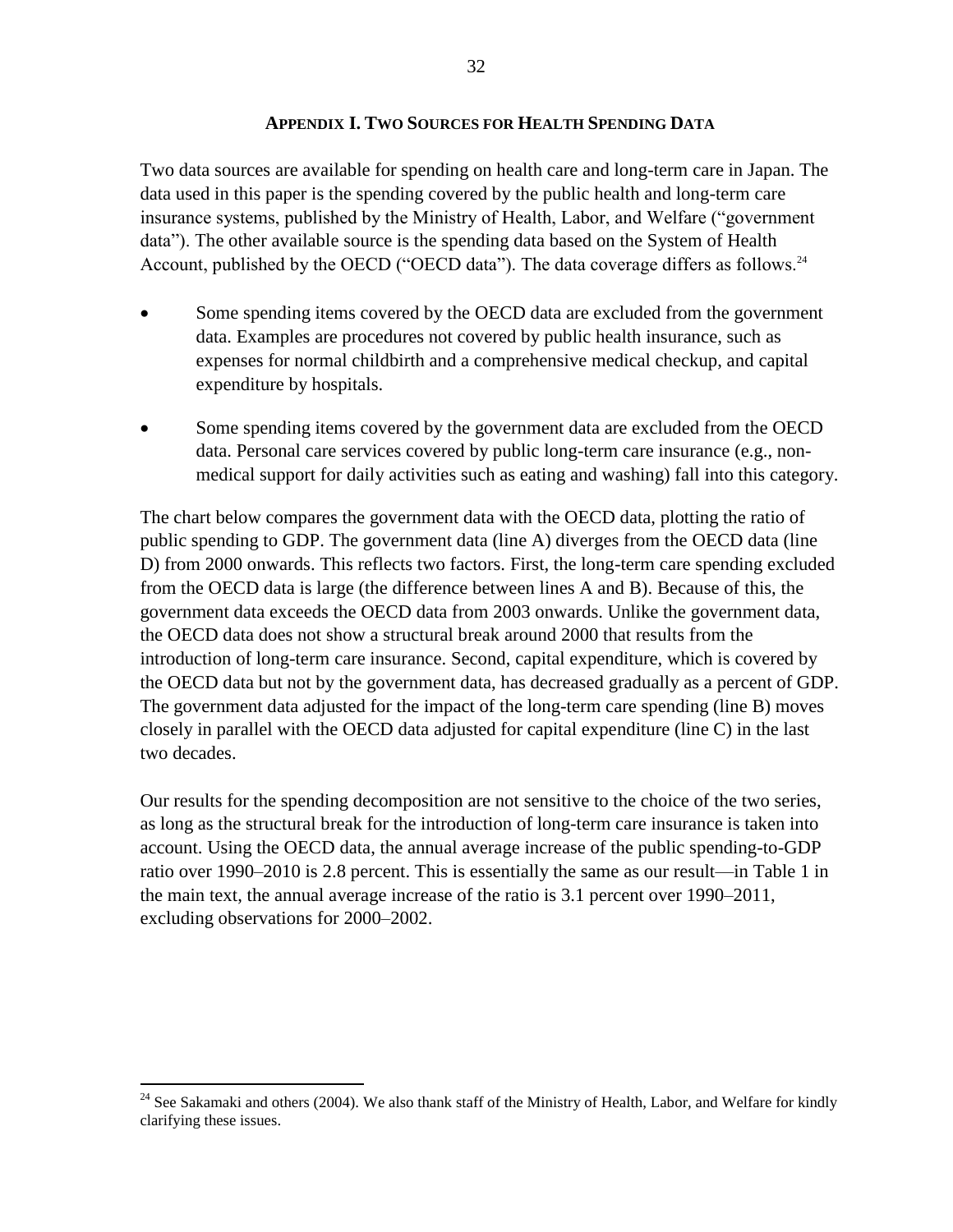#### **APPENDIX I. TWO SOURCES FOR HEALTH SPENDING DATA**

Two data sources are available for spending on health care and long-term care in Japan. The data used in this paper is the spending covered by the public health and long-term care insurance systems, published by the Ministry of Health, Labor, and Welfare ("government data"). The other available source is the spending data based on the System of Health Account, published by the OECD ("OECD data"). The data coverage differs as follows.<sup>24</sup>

- Some spending items covered by the OECD data are excluded from the government data. Examples are procedures not covered by public health insurance, such as expenses for normal childbirth and a comprehensive medical checkup, and capital expenditure by hospitals.
- Some spending items covered by the government data are excluded from the OECD data. Personal care services covered by public long-term care insurance (e.g., nonmedical support for daily activities such as eating and washing) fall into this category.

The chart below compares the government data with the OECD data, plotting the ratio of public spending to GDP. The government data (line A) diverges from the OECD data (line D) from 2000 onwards. This reflects two factors. First, the long-term care spending excluded from the OECD data is large (the difference between lines A and B). Because of this, the government data exceeds the OECD data from 2003 onwards. Unlike the government data, the OECD data does not show a structural break around 2000 that results from the introduction of long-term care insurance. Second, capital expenditure, which is covered by the OECD data but not by the government data, has decreased gradually as a percent of GDP. The government data adjusted for the impact of the long-term care spending (line B) moves closely in parallel with the OECD data adjusted for capital expenditure (line C) in the last two decades.

Our results for the spending decomposition are not sensitive to the choice of the two series, as long as the structural break for the introduction of long-term care insurance is taken into account. Using the OECD data, the annual average increase of the public spending-to-GDP ratio over 1990–2010 is 2.8 percent. This is essentially the same as our result—in Table 1 in the main text, the annual average increase of the ratio is 3.1 percent over 1990–2011, excluding observations for 2000–2002.

<sup>&</sup>lt;sup>24</sup> See Sakamaki and others (2004). We also thank staff of the Ministry of Health, Labor, and Welfare for kindly clarifying these issues.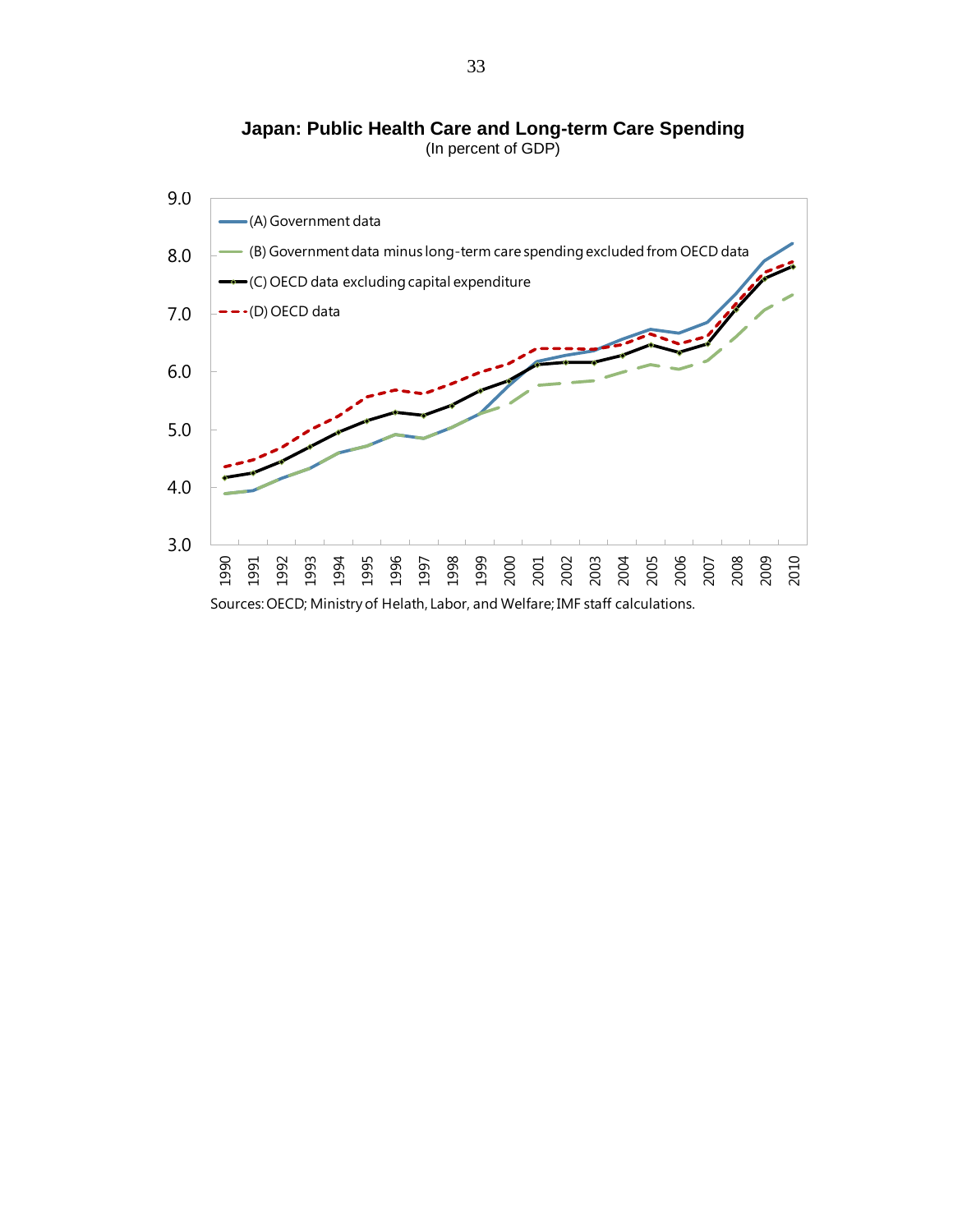**Japan: Public Health Care and Long-term Care Japan: Public Health Care and Long-term Care Spending** (In percent of GDP)

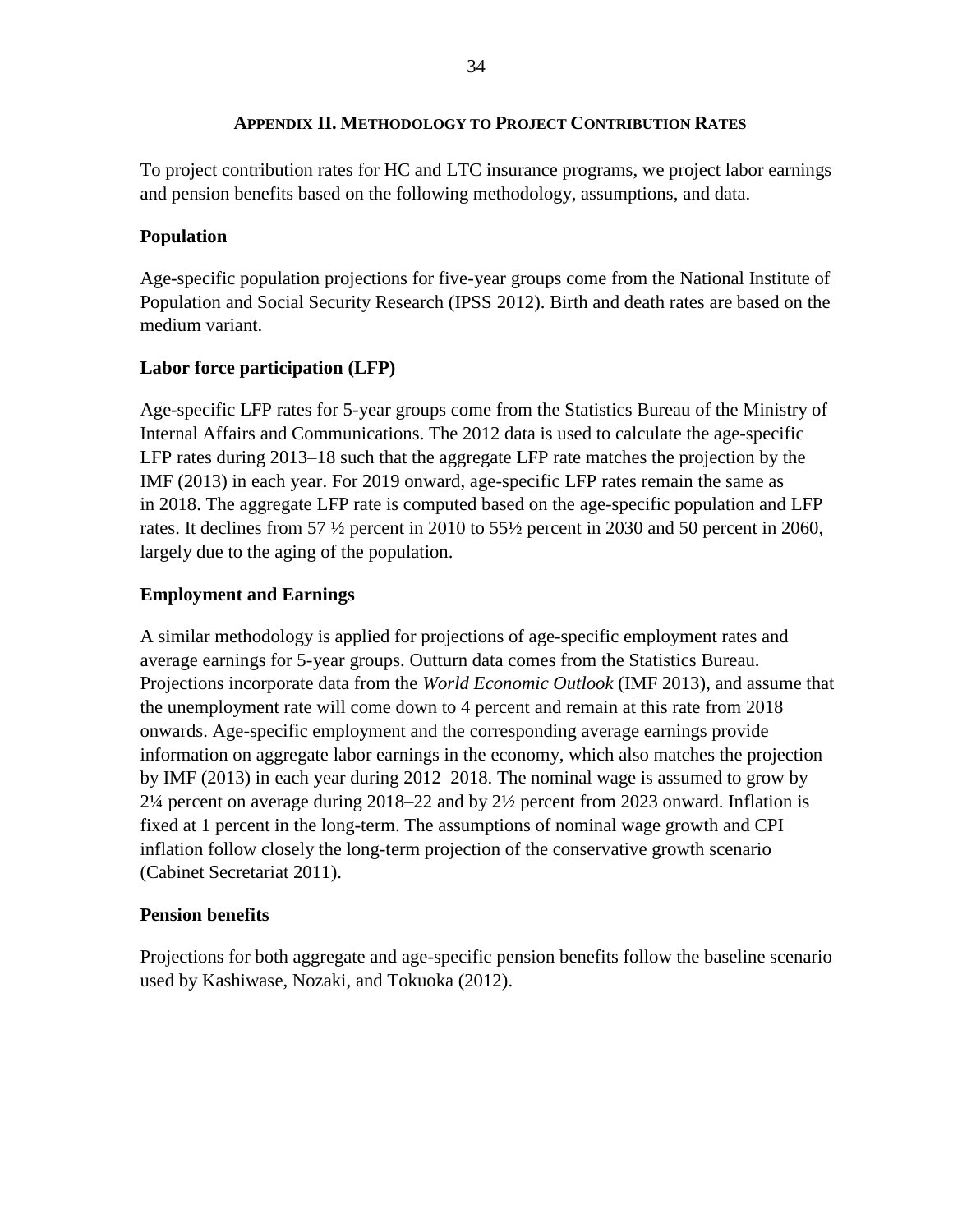## **APPENDIX II. METHODOLOGY TO PROJECT CONTRIBUTION RATES**

To project contribution rates for HC and LTC insurance programs, we project labor earnings and pension benefits based on the following methodology, assumptions, and data.

## **Population**

Age-specific population projections for five-year groups come from the National Institute of Population and Social Security Research (IPSS 2012). Birth and death rates are based on the medium variant.

## **Labor force participation (LFP)**

Age-specific LFP rates for 5-year groups come from the Statistics Bureau of the Ministry of Internal Affairs and Communications. The 2012 data is used to calculate the age-specific LFP rates during 2013–18 such that the aggregate LFP rate matches the projection by the IMF (2013) in each year. For 2019 onward, age-specific LFP rates remain the same as in 2018. The aggregate LFP rate is computed based on the age-specific population and LFP rates. It declines from 57 ½ percent in 2010 to 55½ percent in 2030 and 50 percent in 2060, largely due to the aging of the population.

## **Employment and Earnings**

A similar methodology is applied for projections of age-specific employment rates and average earnings for 5-year groups. Outturn data comes from the Statistics Bureau. Projections incorporate data from the *World Economic Outlook* (IMF 2013), and assume that the unemployment rate will come down to 4 percent and remain at this rate from 2018 onwards. Age-specific employment and the corresponding average earnings provide information on aggregate labor earnings in the economy, which also matches the projection by IMF (2013) in each year during 2012–2018. The nominal wage is assumed to grow by 2¼ percent on average during 2018–22 and by 2½ percent from 2023 onward. Inflation is fixed at 1 percent in the long-term. The assumptions of nominal wage growth and CPI inflation follow closely the long-term projection of the conservative growth scenario (Cabinet Secretariat 2011).

## **Pension benefits**

Projections for both aggregate and age-specific pension benefits follow the baseline scenario used by Kashiwase, Nozaki, and Tokuoka (2012).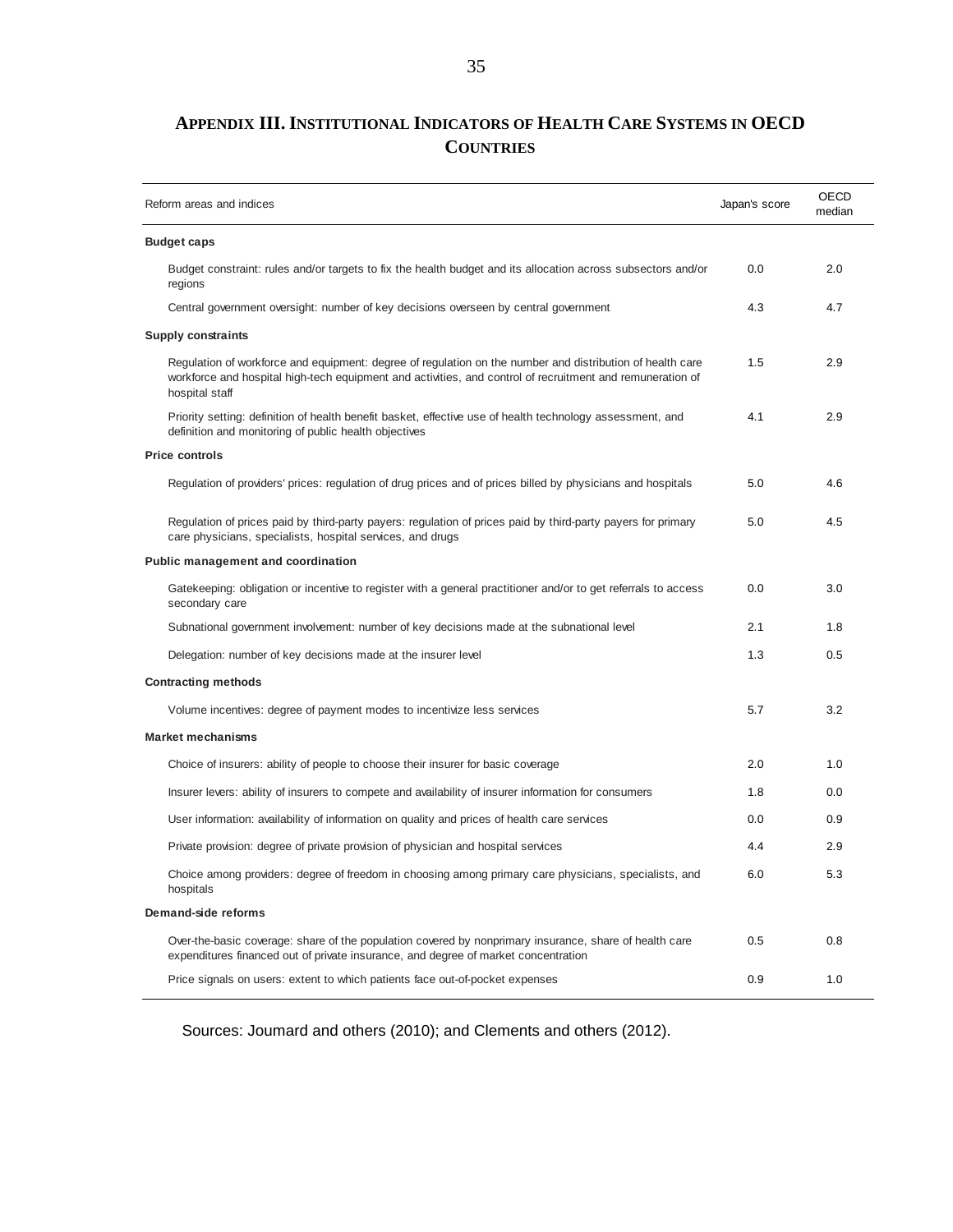## **APPENDIX III. INSTITUTIONAL INDICATORS OF HEALTH CARE SYSTEMS IN OECD COUNTRIES**

| Reform areas and indices                                                                                                                                                                                                                 | Japan's score | <b>OECD</b><br>median |
|------------------------------------------------------------------------------------------------------------------------------------------------------------------------------------------------------------------------------------------|---------------|-----------------------|
| <b>Budget caps</b>                                                                                                                                                                                                                       |               |                       |
| Budget constraint: rules and/or targets to fix the health budget and its allocation across subsectors and/or<br>regions                                                                                                                  | 0.0           | 2.0                   |
| Central government oversight: number of key decisions overseen by central government                                                                                                                                                     | 4.3           | 4.7                   |
| <b>Supply constraints</b>                                                                                                                                                                                                                |               |                       |
| Regulation of workforce and equipment: degree of regulation on the number and distribution of health care<br>workforce and hospital high-tech equipment and activities, and control of recruitment and remuneration of<br>hospital staff | 1.5           | 2.9                   |
| Priority setting: definition of health benefit basket, effective use of health technology assessment, and<br>definition and monitoring of public health objectives                                                                       | 4.1           | 2.9                   |
| <b>Price controls</b>                                                                                                                                                                                                                    |               |                       |
| Regulation of providers' prices: regulation of drug prices and of prices billed by physicians and hospitals                                                                                                                              | 5.0           | 4.6                   |
| Regulation of prices paid by third-party payers: regulation of prices paid by third-party payers for primary<br>care physicians, specialists, hospital services, and drugs                                                               | 5.0           | 4.5                   |
| Public management and coordination                                                                                                                                                                                                       |               |                       |
| Gatekeeping: obligation or incentive to register with a general practitioner and/or to get referrals to access<br>secondary care                                                                                                         | 0.0           | 3.0                   |
| Subnational government involvement: number of key decisions made at the subnational level                                                                                                                                                | 2.1           | 1.8                   |
| Delegation: number of key decisions made at the insurer level                                                                                                                                                                            | 1.3           | 0.5                   |
| <b>Contracting methods</b>                                                                                                                                                                                                               |               |                       |
| Volume incentives: degree of payment modes to incentivize less services                                                                                                                                                                  | 5.7           | 3.2                   |
| <b>Market mechanisms</b>                                                                                                                                                                                                                 |               |                       |
| Choice of insurers: ability of people to choose their insurer for basic coverage                                                                                                                                                         | 2.0           | 1.0                   |
| Insurer levers: ability of insurers to compete and availability of insurer information for consumers                                                                                                                                     | 1.8           | 0.0                   |
| User information: availability of information on quality and prices of health care services                                                                                                                                              | 0.0           | 0.9                   |
| Private provision: degree of private provision of physician and hospital services                                                                                                                                                        | 4.4           | 2.9                   |
| Choice among providers: degree of freedom in choosing among primary care physicians, specialists, and<br>hospitals                                                                                                                       | 6.0           | 5.3                   |
| Demand-side reforms                                                                                                                                                                                                                      |               |                       |
| Over-the-basic coverage: share of the population covered by nonprimary insurance, share of health care<br>expenditures financed out of private insurance, and degree of market concentration                                             | 0.5           | 0.8                   |
| Price signals on users: extent to which patients face out-of-pocket expenses                                                                                                                                                             | 0.9           | 1.0                   |

Sources: Joumard and others (2010); and Clements and others (2012).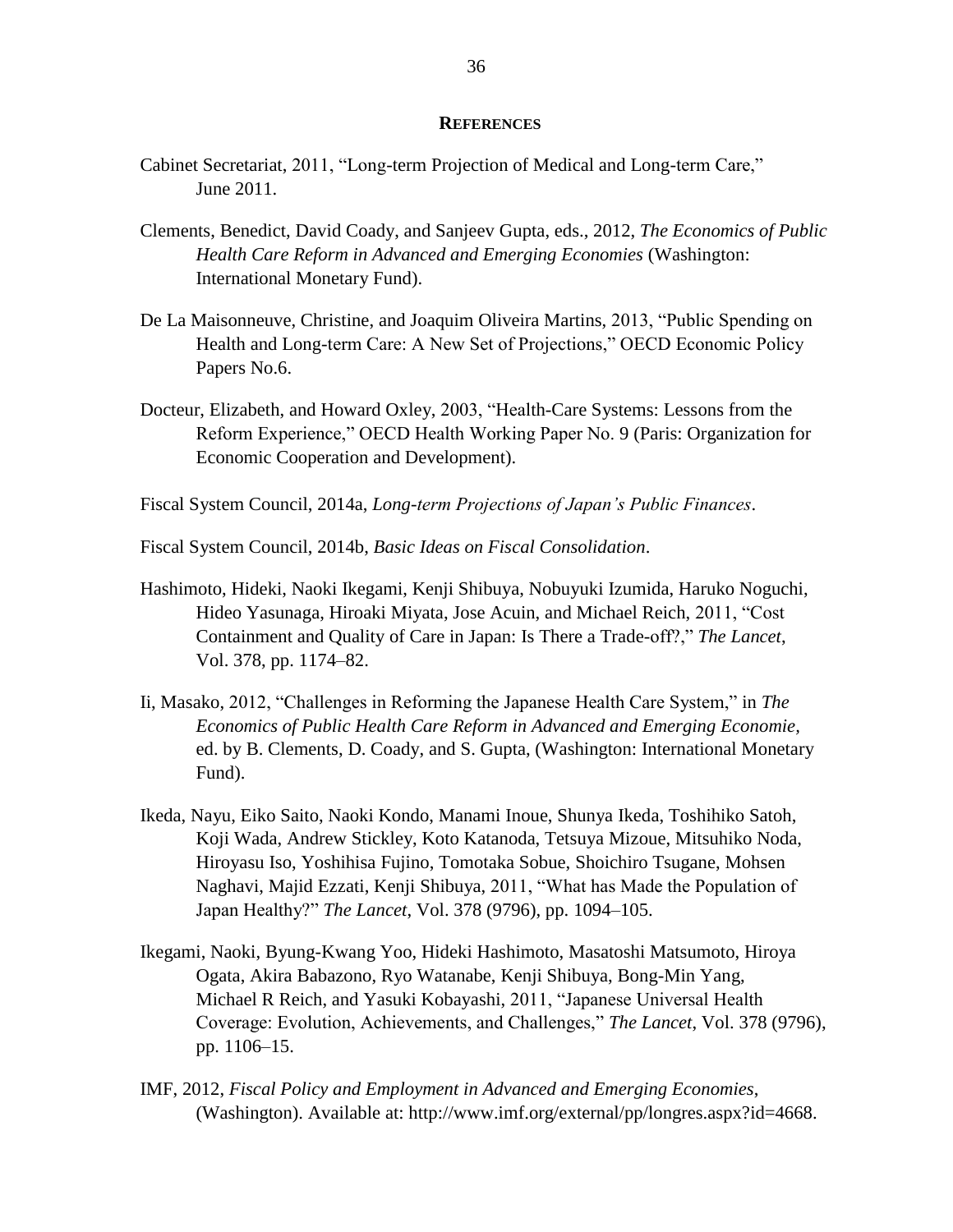#### **REFERENCES**

- Cabinet Secretariat, 2011, "Long-term Projection of Medical and Long-term Care," June 2011.
- Clements, Benedict, David Coady, and Sanjeev Gupta, eds., 2012, *The Economics of Public Health Care Reform in Advanced and Emerging Economies* (Washington: International Monetary Fund).
- De La Maisonneuve, Christine, and Joaquim Oliveira Martins, 2013, "Public Spending on Health and Long-term Care: A New Set of Projections," OECD Economic Policy Papers No.6.
- Docteur, Elizabeth, and Howard Oxley, 2003, "Health-Care Systems: Lessons from the Reform Experience," OECD Health Working Paper No. 9 (Paris: Organization for Economic Cooperation and Development).
- Fiscal System Council, 2014a, *Long-term Projections of Japan's Public Finances*.
- Fiscal System Council, 2014b, *Basic Ideas on Fiscal Consolidation*.
- Hashimoto, Hideki, Naoki Ikegami, Kenji Shibuya, Nobuyuki Izumida, Haruko Noguchi, Hideo Yasunaga, Hiroaki Miyata, Jose Acuin, and Michael Reich, 2011, "Cost Containment and Quality of Care in Japan: Is There a Trade-off?," *The Lancet*, Vol. 378, pp. 1174–82.
- Ii, Masako, 2012, "Challenges in Reforming the Japanese Health Care System," in *The Economics of Public Health Care Reform in Advanced and Emerging Economie,* ed. by B. Clements, D. Coady, and S. Gupta, (Washington: International Monetary Fund).
- Ikeda, Nayu, Eiko Saito, Naoki Kondo, Manami Inoue, Shunya Ikeda, Toshihiko Satoh, Koji Wada, Andrew Stickley, Koto Katanoda, Tetsuya Mizoue, Mitsuhiko Noda, Hiroyasu Iso, Yoshihisa Fujino, Tomotaka Sobue, Shoichiro Tsugane, Mohsen Naghavi, Majid Ezzati, Kenji Shibuya, 2011, "What has Made the Population of Japan Healthy?" *The Lancet*, Vol. 378 (9796), pp. 1094–105.
- Ikegami, Naoki, Byung-Kwang Yoo, Hideki Hashimoto, Masatoshi Matsumoto, Hiroya Ogata, Akira Babazono, Ryo Watanabe, Kenji Shibuya, Bong-Min Yang, Michael R Reich, and Yasuki Kobayashi, 2011, "Japanese Universal Health Coverage: Evolution, Achievements, and Challenges," *The Lancet*, Vol. 378 (9796), pp. 1106–15.
- IMF, 2012, *Fiscal Policy and Employment in Advanced and Emerging Economies*, (Washington). Available at: http://www.imf.org/external/pp/longres.aspx?id=4668.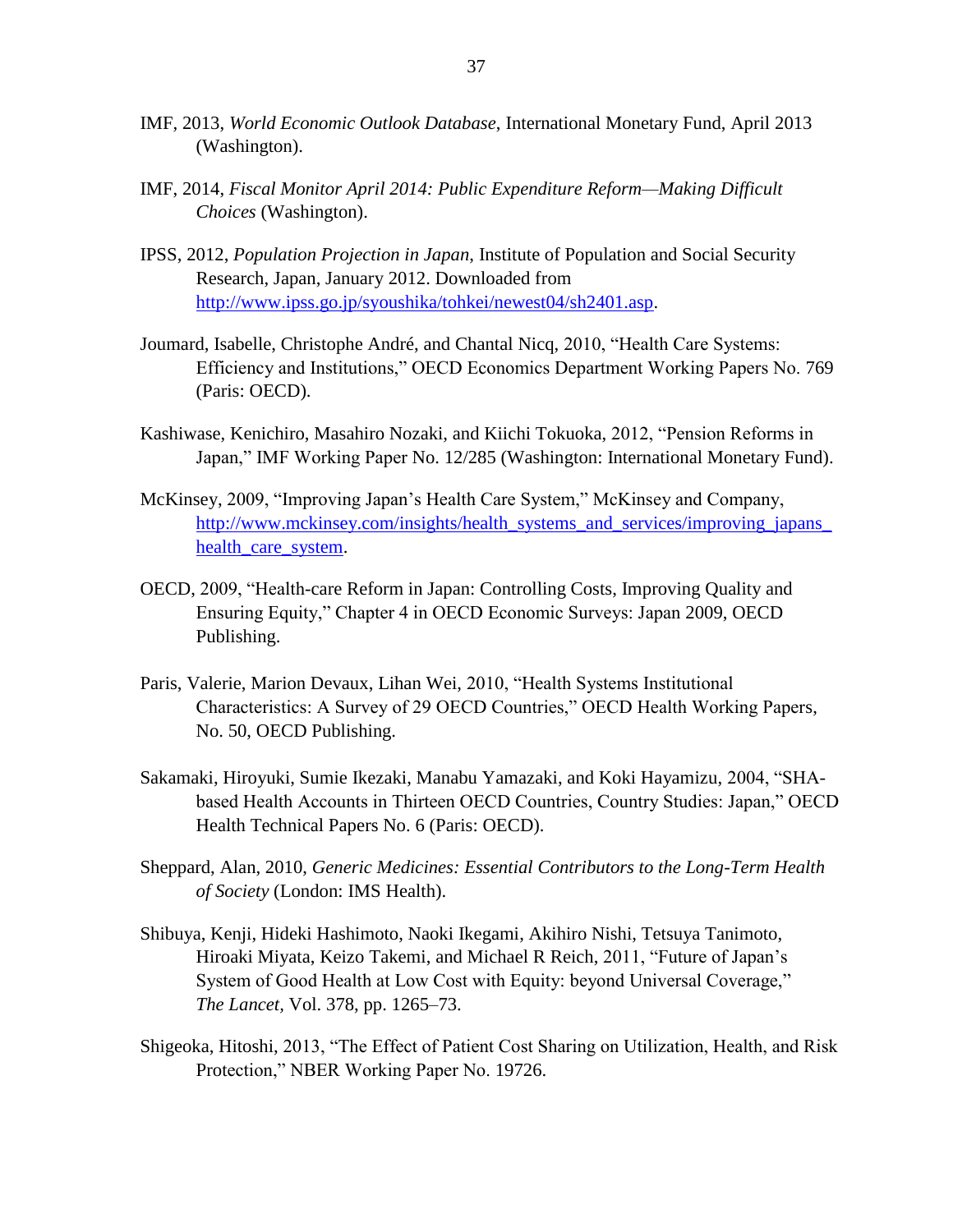- IMF, 2013, *World Economic Outlook Database*, International Monetary Fund, April 2013 (Washington).
- IMF, 2014, *Fiscal Monitor April 2014: Public Expenditure Reform—Making Difficult Choices* (Washington).
- IPSS, 2012, *Population Projection in Japan*, Institute of Population and Social Security Research, Japan, January 2012. Downloaded from [http://www.ipss.go.jp/syoushika/tohkei/newest04/sh2401.asp.](http://www.ipss.go.jp/syoushika/tohkei/newest04/sh2401.asp)
- Joumard, Isabelle, Christophe André, and Chantal Nicq, 2010, "Health Care Systems: Efficiency and Institutions," OECD Economics Department Working Papers No. 769 (Paris: OECD).
- Kashiwase, Kenichiro, Masahiro Nozaki, and Kiichi Tokuoka, 2012, "Pension Reforms in Japan," IMF Working Paper No. 12/285 (Washington: International Monetary Fund).
- McKinsey, 2009, "Improving Japan's Health Care System," McKinsey and Company, [http://www.mckinsey.com/insights/health\\_systems\\_and\\_services/improving\\_japans\\_](http://www.mckinsey.com/insights/health_systems_and_services/improving_japans_health_care_system) [health\\_care\\_system.](http://www.mckinsey.com/insights/health_systems_and_services/improving_japans_health_care_system)
- OECD, 2009, "Health-care Reform in Japan: Controlling Costs, Improving Quality and Ensuring Equity," Chapter 4 in OECD Economic Surveys: Japan 2009, OECD Publishing.
- Paris, Valerie, Marion Devaux, Lihan Wei, 2010, "Health Systems Institutional Characteristics: A Survey of 29 OECD Countries," OECD Health Working Papers, No. 50, OECD Publishing.
- Sakamaki, Hiroyuki, Sumie Ikezaki, Manabu Yamazaki, and Koki Hayamizu, 2004, "SHAbased Health Accounts in Thirteen OECD Countries, Country Studies: Japan," OECD Health Technical Papers No. 6 (Paris: OECD).
- Sheppard, Alan, 2010, *Generic Medicines: Essential Contributors to the Long-Term Health of Society* (London: IMS Health).
- Shibuya, Kenji, Hideki Hashimoto, Naoki Ikegami, Akihiro Nishi, Tetsuya Tanimoto, Hiroaki Miyata, Keizo Takemi, and Michael R Reich, 2011, "Future of Japan's System of Good Health at Low Cost with Equity: beyond Universal Coverage," *The Lancet,* Vol. 378, pp. 1265–73.
- Shigeoka, Hitoshi, 2013, "The Effect of Patient Cost Sharing on Utilization, Health, and Risk Protection," NBER Working Paper No. 19726.